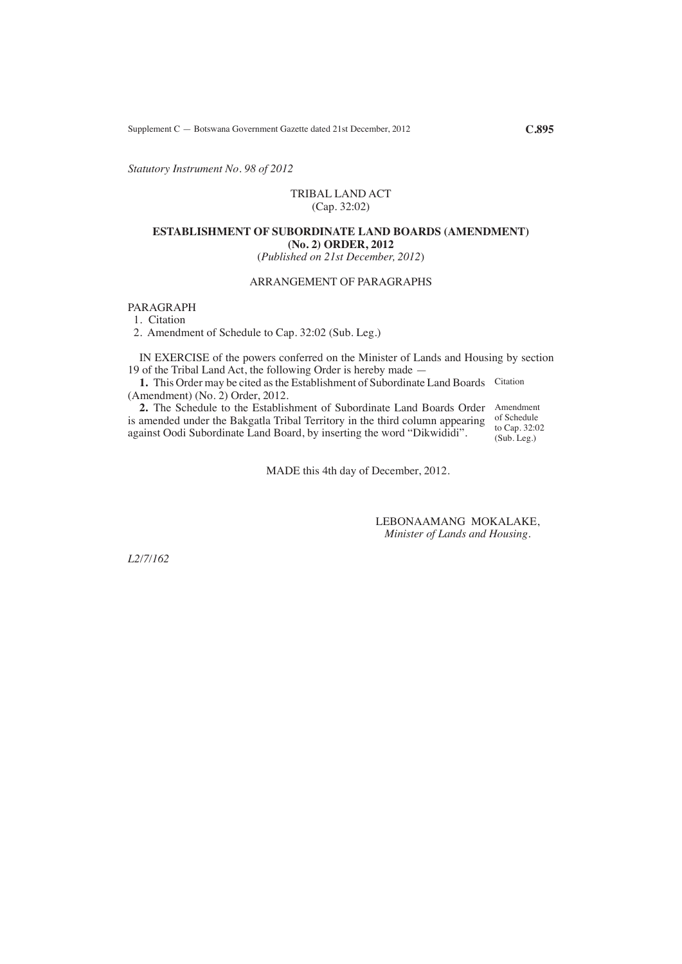Supplement C — Botswana Government Gazette dated 21st December, 2012 **C.895**

*Statutory Instrument No. 98 of 2012*

#### TRIBAL LAND ACT (Cap. 32:02)

# **ESTABLISHMENT OF SUBORDINATE LAND BOARDS (AMENDMENT) (No. 2) ORDER, 2012**

(*Published on 21st December, 2012*)

# ARRANGEMENT OF PARAGRAPHS

PARAGRAPH

1. Citation

2. Amendment of Schedule to Cap. 32:02 (Sub. Leg.)

IN EXERCISE of the powers conferred on the Minister of Lands and Housing by section 19 of the Tribal Land Act, the following Order is hereby made —

1. This Order may be cited as the Establishment of Subordinate Land Boards Citation (Amendment) (No. 2) Order, 2012.

**2.** The Schedule to the Establishment of Subordinate Land Boards Order Amendment is amended under the Bakgatla Tribal Territory in the third column appearing of Schedule against Oodi Subordinate Land Board, by inserting the word "Dikwididi".

to Cap. 32:02 (Sub. Leg.)

MADE this 4th day of December, 2012.

LEBONAAMANG MOKALAKE, *Minister of Lands and Housing.*

*L2/7/162*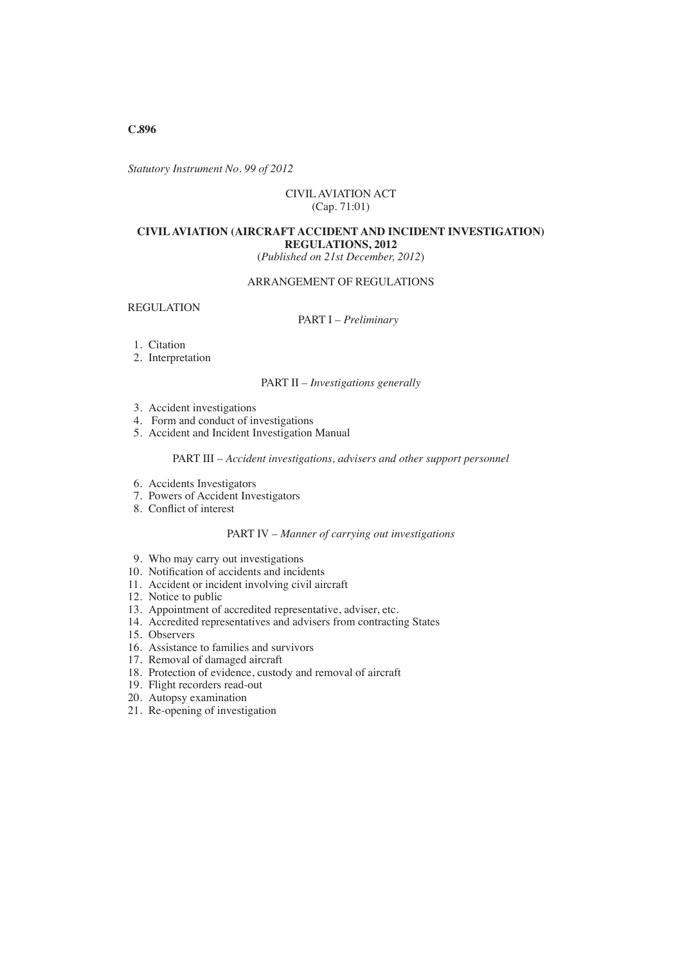**C.896**

*Statutory Instrument No. 99 of 2012*

## CIVIL AVIATION ACT (Cap. 71:01)

# **CIVIL AVIATION (AIRCRAFT ACCIDENT AND INCIDENT INVESTIGATION) REGULATIONS, 2012**

(*Published on 21st December, 2012*)

# ARRANGEMENT OF REGULATIONS

# REGULATION

# PART I – *Preliminary*

- 1. Citation
- 2. Interpretation

PART II – *Investigations generally*

- 3. Accident investigations
- 4. Form and conduct of investigations
- 5. Accident and Incident Investigation Manual

## PART III – *Accident investigations, advisers and other support personnel*

- 6. Accidents Investigators
- 7. Powers of Accident Investigators
- 8. Conflict of interest

#### PART IV – *Manner of carrying out investigations*

- 9. Who may carry out investigations
- 10. Notification of accidents and incidents
- 11. Accident or incident involving civil aircraft
- 12. Notice to public
- 13. Appointment of accredited representative, adviser, etc.
- 14. Accredited representatives and advisers from contracting States
- 15. Observers
- 16. Assistance to families and survivors
- 17. Removal of damaged aircraft
- 18. Protection of evidence, custody and removal of aircraft
- 19. Flight recorders read-out
- 20. Autopsy examination
- 21. Re-opening of investigation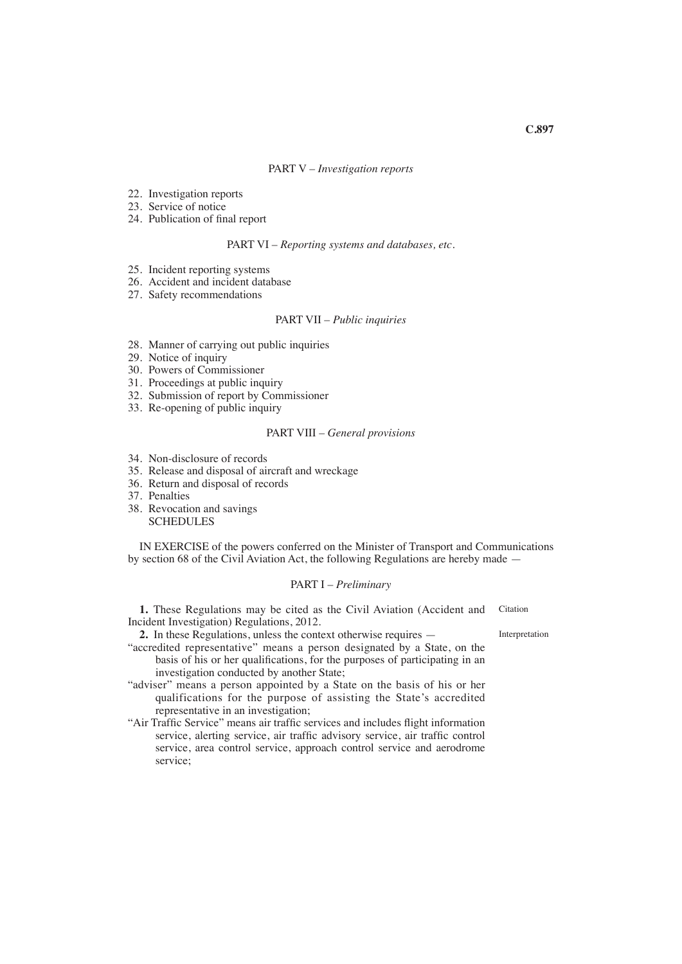#### PART V – *Investigation reports*

- 22. Investigation reports
- 23. Service of notice
- 24. Publication of final report

PART VI – *Reporting systems and databases, etc.*

- 25. Incident reporting systems
- 26. Accident and incident database
- 27. Safety recommendations

## PART VII – *Public inquiries*

- 28. Manner of carrying out public inquiries
- 29. Notice of inquiry
- 30. Powers of Commissioner
- 31. Proceedings at public inquiry
- 32. Submission of report by Commissioner
- 33. Re-opening of public inquiry

### PART VIII – *General provisions*

- 34. Non-disclosure of records
- 35. Release and disposal of aircraft and wreckage
- 36. Return and disposal of records
- 37. Penalties
- 38. Revocation and savings **SCHEDULES**

IN EXERCISE of the powers conferred on the Minister of Transport and Communications by section 68 of the Civil Aviation Act, the following Regulations are hereby made —

## PART I – *Preliminary*

**1.** These Regulations may be cited as the Civil Aviation (Accident and Incident Investigation) Regulations, 2012. Citation

**2.** In these Regulations, unless the context otherwise requires —

Interpretation

"accredited representative" means a person designated by a State, on the basis of his or her qualifications, for the purposes of participating in an investigation conducted by another State;

"adviser" means a person appointed by a State on the basis of his or her qualifications for the purpose of assisting the State's accredited representative in an investigation;

"Air Traffic Service" means air traffic services and includes flight information service, alerting service, air traffic advisory service, air traffic control service, area control service, approach control service and aerodrome service;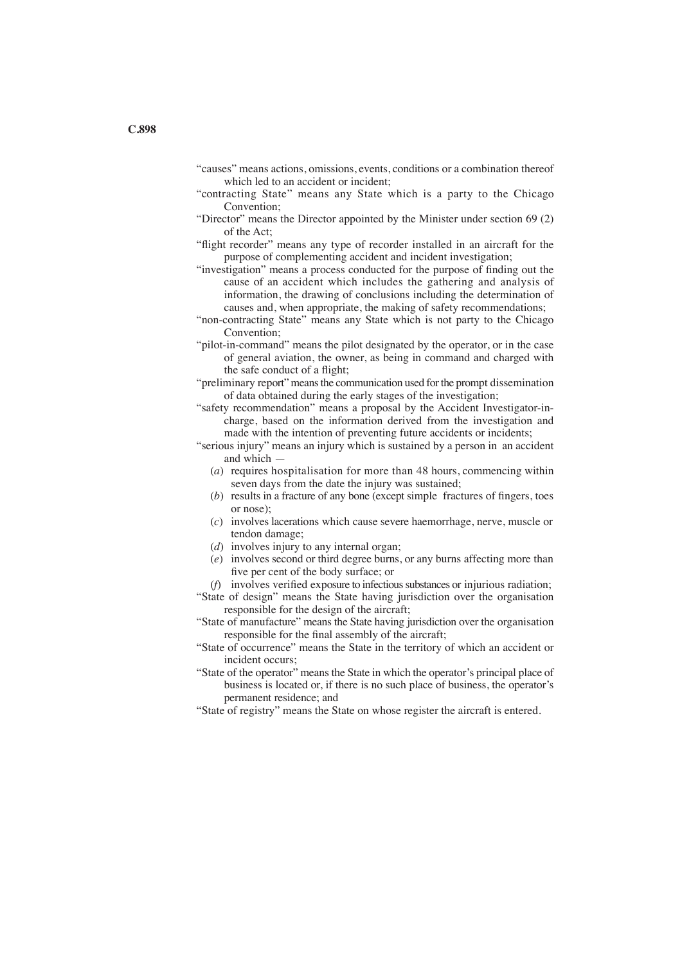- "causes" means actions, omissions, events, conditions or a combination thereof which led to an accident or incident;
- "contracting State" means any State which is a party to the Chicago Convention;
- "Director" means the Director appointed by the Minister under section 69 (2) of the Act;
- "flight recorder" means any type of recorder installed in an aircraft for the purpose of complementing accident and incident investigation;
- "investigation" means a process conducted for the purpose of finding out the cause of an accident which includes the gathering and analysis of information, the drawing of conclusions including the determination of causes and, when appropriate, the making of safety recommendations;
- "non-contracting State" means any State which is not party to the Chicago Convention;
- "pilot-in-command" means the pilot designated by the operator, or in the case of general aviation, the owner, as being in command and charged with the safe conduct of a flight;
- "preliminary report" means the communication used for the prompt dissemination of data obtained during the early stages of the investigation;
- "safety recommendation" means a proposal by the Accident Investigator-incharge, based on the information derived from the investigation and made with the intention of preventing future accidents or incidents;
- "serious injury" means an injury which is sustained by a person in an accident and which —
	- (*a*) requires hospitalisation for more than 48 hours, commencing within seven days from the date the injury was sustained;
	- (*b*) results in a fracture of any bone (except simple fractures of fingers, toes or nose);
	- (*c*) involves lacerations which cause severe haemorrhage, nerve, muscle or tendon damage;
	- (*d*) involves injury to any internal organ;
	- (*e*) involves second or third degree burns, or any burns affecting more than five per cent of the body surface; or
	- (*f*) involves verified exposure to infectious substances or injurious radiation;
- "State of design" means the State having jurisdiction over the organisation responsible for the design of the aircraft;
- "State of manufacture" means the State having jurisdiction over the organisation responsible for the final assembly of the aircraft;
- "State of occurrence" means the State in the territory of which an accident or incident occurs;
- "State of the operator" means the State in which the operator's principal place of business is located or, if there is no such place of business, the operator's permanent residence; and
- "State of registry" means the State on whose register the aircraft is entered.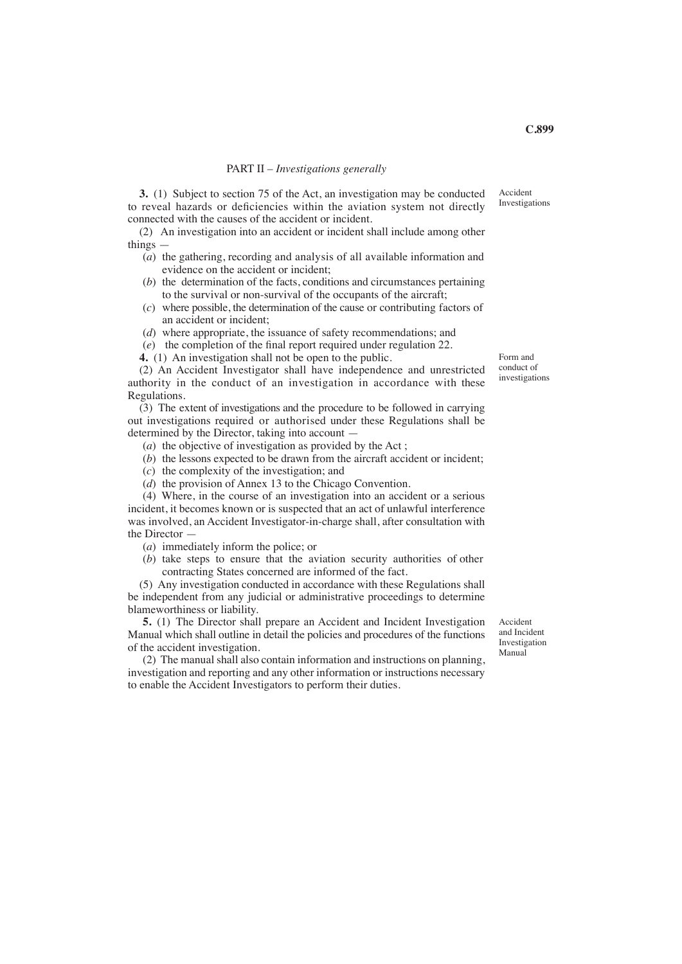#### PART II – *Investigations generally*

**3.** (1) Subject to section 75 of the Act, an investigation may be conducted to reveal hazards or deficiencies within the aviation system not directly connected with the causes of the accident or incident.

(2) An investigation into an accident or incident shall include among other things —

- (*a*) the gathering, recording and analysis of all available information and evidence on the accident or incident;
- (*b*) the determination of the facts, conditions and circumstances pertaining to the survival or non-survival of the occupants of the aircraft;
- (*c*) where possible, the determination of the cause or contributing factors of an accident or incident;
- (*d*) where appropriate, the issuance of safety recommendations; and
- (*e*) the completion of the final report required under regulation 22.
- **4.** (1) An investigation shall not be open to the public.

(2) An Accident Investigator shall have independence and unrestricted authority in the conduct of an investigation in accordance with these Regulations.

(3) The extent of investigations and the procedure to be followed in carrying out investigations required or authorised under these Regulations shall be determined by the Director, taking into account —

- (*a*) the objective of investigation as provided by the Act ;
- (*b*) the lessons expected to be drawn from the aircraft accident or incident;
- (*c*) the complexity of the investigation; and
- (*d*) the provision of Annex 13 to the Chicago Convention.

(4) Where, in the course of an investigation into an accident or a serious incident, it becomes known or is suspected that an act of unlawful interference was involved, an Accident Investigator-in-charge shall, after consultation with the Director —

- (*a*) immediately inform the police; or
- (*b*) take steps to ensure that the aviation security authorities of other contracting States concerned are informed of the fact.

(5) Any investigation conducted in accordance with these Regulations shall be independent from any judicial or administrative proceedings to determine blameworthiness or liability.

**5.** (1) The Director shall prepare an Accident and Incident Investigation Manual which shall outline in detail the policies and procedures of the functions of the accident investigation.

(2) The manual shall also contain information and instructions on planning, investigation and reporting and any other information or instructions necessary to enable the Accident Investigators to perform their duties.

Accident and Incident Investigation Manual

Form and conduct of investigations

Accident Investigations

**C.899**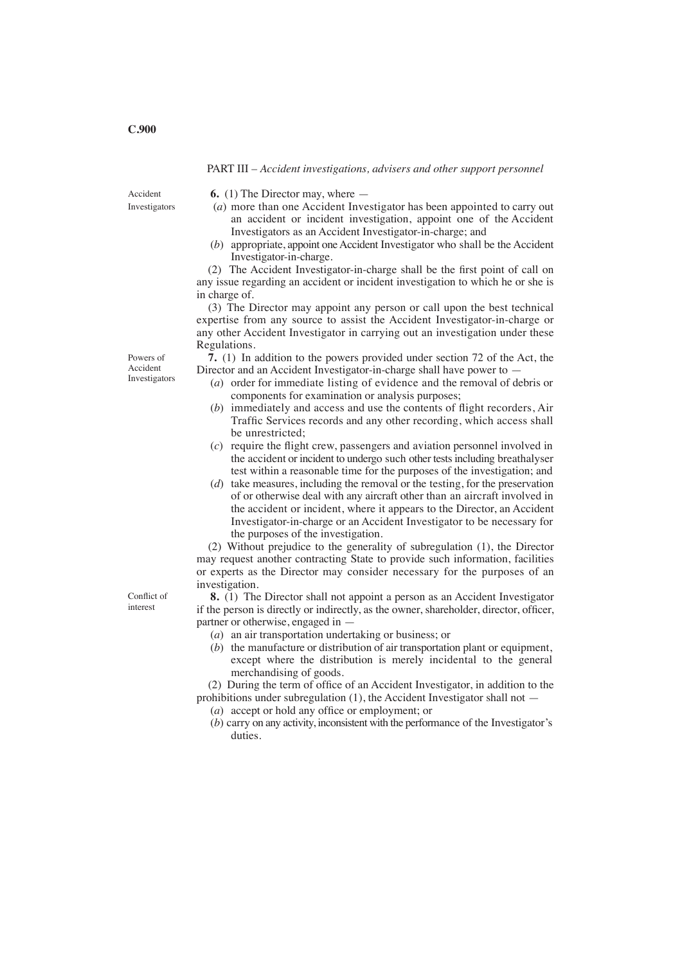#### PART III – *Accident investigations, advisers and other support personnel*

Accident Investigators **6.** (1) The Director may, where —

- (*a*) more than one Accident Investigator has been appointed to carry out an accident or incident investigation, appoint one of the Accident Investigators as an Accident Investigator-in-charge; and
- (*b*) appropriate, appoint one Accident Investigator who shall be the Accident Investigator-in-charge.

(2) The Accident Investigator-in-charge shall be the first point of call on any issue regarding an accident or incident investigation to which he or she is in charge of.

(3) The Director may appoint any person or call upon the best technical expertise from any source to assist the Accident Investigator-in-charge or any other Accident Investigator in carrying out an investigation under these Regulations.

**7.** (1) In addition to the powers provided under section 72 of the Act, the Director and an Accident Investigator-in-charge shall have power to -

- (*a*) order for immediate listing of evidence and the removal of debris or components for examination or analysis purposes;
- (*b*) immediately and access and use the contents of flight recorders, Air Traffic Services records and any other recording, which access shall be unrestricted;
- (*c*) require the flight crew, passengers and aviation personnel involved in the accident or incident to undergo such other tests including breathalyser test within a reasonable time for the purposes of the investigation; and
- (*d*) take measures, including the removal or the testing, for the preservation of or otherwise deal with any aircraft other than an aircraft involved in the accident or incident, where it appears to the Director, an Accident Investigator-in-charge or an Accident Investigator to be necessary for the purposes of the investigation.

(2) Without prejudice to the generality of subregulation (1), the Director may request another contracting State to provide such information, facilities or experts as the Director may consider necessary for the purposes of an investigation.

**8.** (1) The Director shall not appoint a person as an Accident Investigator if the person is directly or indirectly, as the owner, shareholder, director, officer, partner or otherwise, engaged in —

- (*a*) an air transportation undertaking or business; or
- (*b*) the manufacture or distribution of air transportation plant or equipment, except where the distribution is merely incidental to the general merchandising of goods.

(2) During the term of office of an Accident Investigator, in addition to the prohibitions under subregulation (1), the Accident Investigator shall not —

- (*a*) accept or hold any office or employment; or
- (*b*) carry on any activity, inconsistent with the performance of the Investigator's duties.

Powers of Accident Investigators

Conflict of interest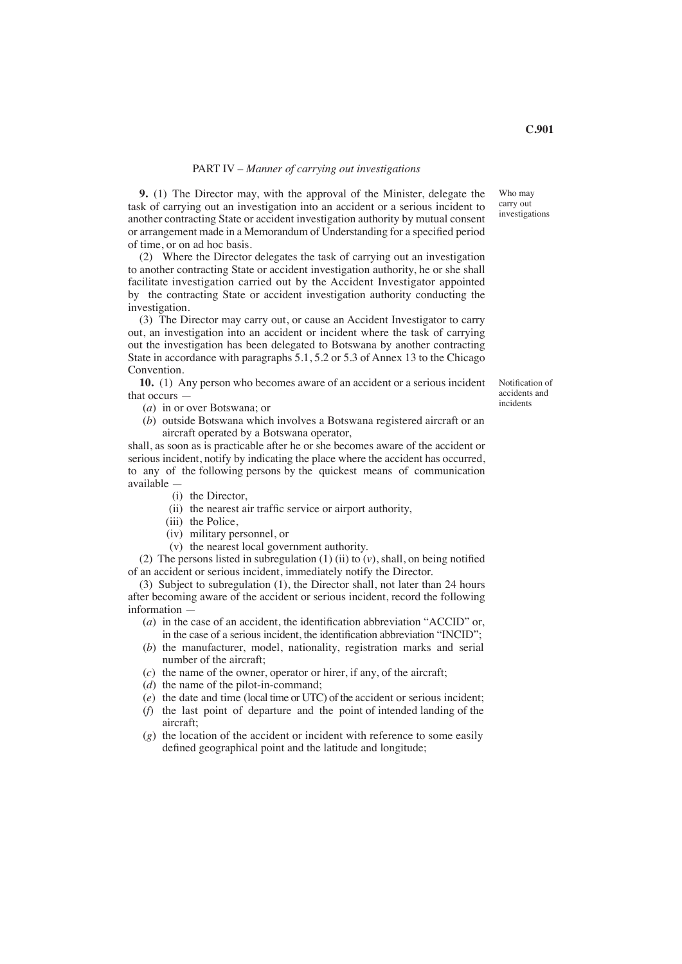#### PART IV – *Manner of carrying out investigations*

**9.** (1) The Director may, with the approval of the Minister, delegate the task of carrying out an investigation into an accident or a serious incident to another contracting State or accident investigation authority by mutual consent or arrangement made in a Memorandum of Understanding for a specified period of time, or on ad hoc basis.

(2) Where the Director delegates the task of carrying out an investigation to another contracting State or accident investigation authority, he or she shall facilitate investigation carried out by the Accident Investigator appointed by the contracting State or accident investigation authority conducting the investigation.

(3) The Director may carry out, or cause an Accident Investigator to carry out, an investigation into an accident or incident where the task of carrying out the investigation has been delegated to Botswana by another contracting State in accordance with paragraphs 5.1, 5.2 or 5.3 of Annex 13 to the Chicago Convention.

**10.** (1) Any person who becomes aware of an accident or a serious incident that occurs —

- (*a*) in or over Botswana; or
- (*b*) outside Botswana which involves a Botswana registered aircraft or an aircraft operated by a Botswana operator,

shall, as soon as is practicable after he or she becomes aware of the accident or serious incident, notify by indicating the place where the accident has occurred, to any of the following persons by the quickest means of communication available —

- (i) the Director,
- (ii) the nearest air traffic service or airport authority,
- (iii) the Police.
- (iv) military personnel, or
- (v) the nearest local government authority.

(2) The persons listed in subregulation (1) (ii) to (*v*), shall, on being notified of an accident or serious incident, immediately notify the Director.

(3) Subject to subregulation (1), the Director shall, not later than 24 hours after becoming aware of the accident or serious incident, record the following information —

- (*a*) in the case of an accident, the identification abbreviation "ACCID" or, in the case of a serious incident, the identification abbreviation "INCID";
- (*b*) the manufacturer, model, nationality, registration marks and serial number of the aircraft;
- (*c*) the name of the owner, operator or hirer, if any, of the aircraft;
- (*d*) the name of the pilot-in-command;
- (*e*) the date and time (local time or UTC) of the accident or serious incident;
- (*f*) the last point of departure and the point of intended landing of the aircraft;
- (*g*) the location of the accident or incident with reference to some easily defined geographical point and the latitude and longitude;

Notification of accidents and incidents

Who may carry out investigations

**C.901**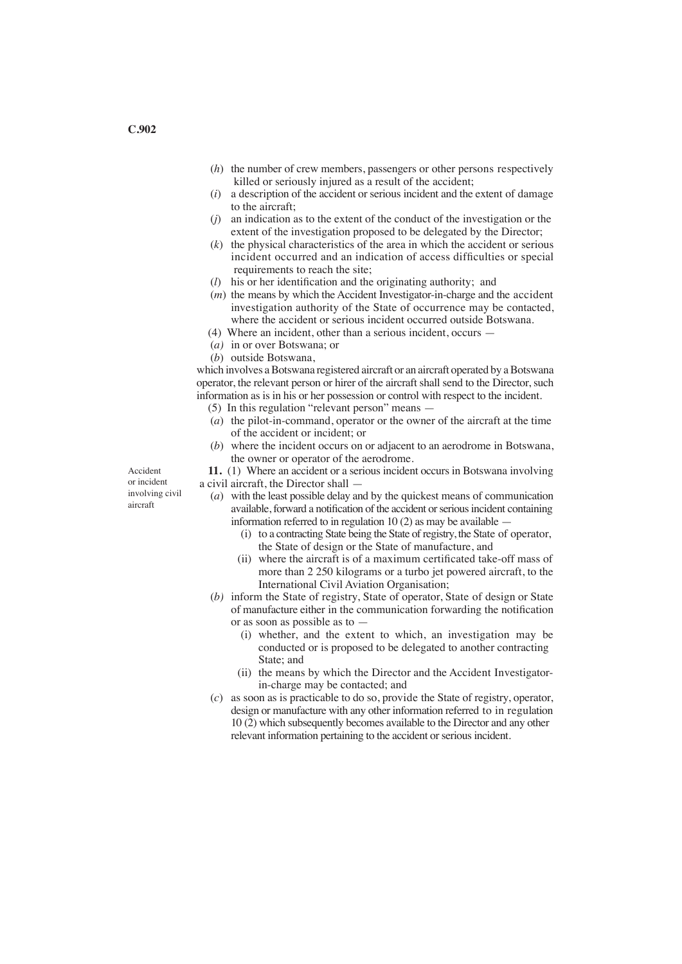- (*h*) the number of crew members, passengers or other persons respectively killed or seriously injured as a result of the accident;<br>(i) a description of the accident or serious incident and the
- a description of the accident or serious incident and the extent of damage to the aircraft;
- (*j*) an indication as to the extent of the conduct of the investigation or the extent of the investigation proposed to be delegated by the Director;
- (*k*) the physical characteristics of the area in which the accident or serious incident occurred and an indication of access difficulties or special requirements to reach the site;
- (*l*) his or her identification and the originating authority; and
- (*m*) the means by which the Accident Investigator-in-charge and the accident investigation authority of the State of occurrence may be contacted, where the accident or serious incident occurred outside Botswana.
- (4) Where an incident, other than a serious incident, occurs —
- (*a)* in or over Botswana; or
- (*b*) outside Botswana,

which involves a Botswana registered aircraft or an aircraft operated by a Botswana operator, the relevant person or hirer of the aircraft shall send to the Director, such information as is in his or her possession or control with respect to the incident.

- (5) In this regulation "relevant person" means —
- (*a*) the pilot-in-command, operator or the owner of the aircraft at the time of the accident or incident; or
- (*b*) where the incident occurs on or adjacent to an aerodrome in Botswana, the owner or operator of the aerodrome.

**11.** (1) Where an accident or a serious incident occurs in Botswana involving a civil aircraft, the Director shall —

- (*a*) with the least possible delay and by the quickest means of communication available, forward a notification of the accident orseriousincident containing information referred to in regulation 10 (2) as may be available —
	- (i) to a contracting State being the State of registry, the State of operator, the State of design or the State of manufacture, and
	- (ii) where the aircraft is of a maximum certificated take-off mass of more than 2 250 kilograms or a turbo jet powered aircraft, to the International Civil Aviation Organisation;
- (*b)* inform the State of registry, State of operator, State of design or State of manufacture either in the communication forwarding the notification or as soon as possible as to —
	- (i) whether, and the extent to which, an investigation may be conducted or is proposed to be delegated to another contracting State; and
	- (ii) the means by which the Director and the Accident Investigator in-charge may be contacted; and
- (*c*) as soon as is practicable to do so, provide the State of registry, operator, design or manufacture with any other information referred to in regulation 10 (2) which subsequently becomes available to the Director and any other relevant information pertaining to the accident or serious incident.

Accident or incident involving civil aircraft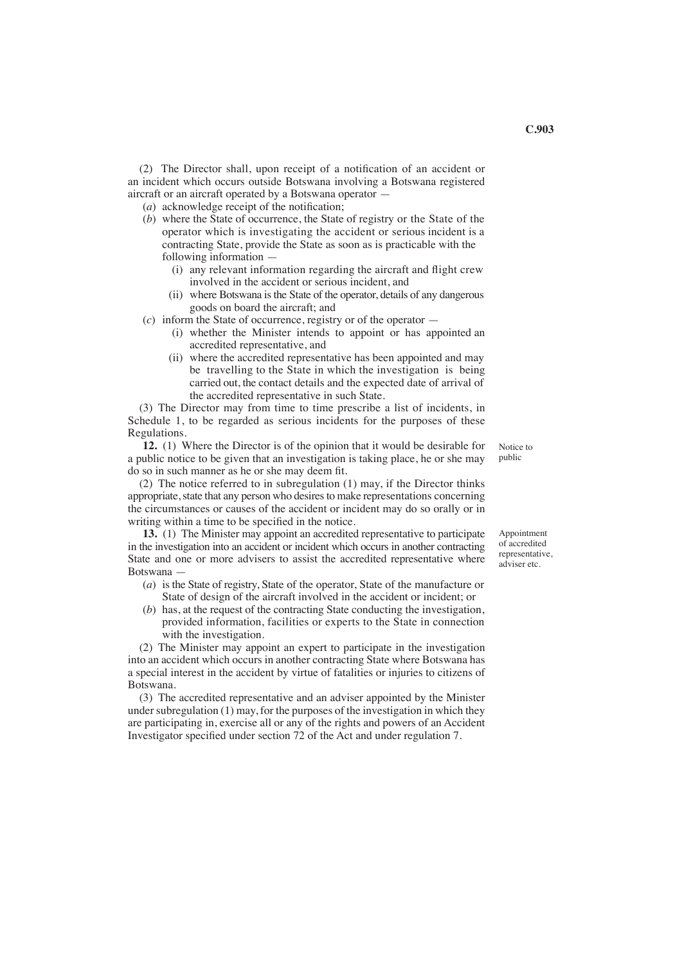(2) The Director shall, upon receipt of a notification of an accident or an incident which occurs outside Botswana involving a Botswana registered aircraft or an aircraft operated by a Botswana operator —

- (*a*) acknowledge receipt of the notification;
- (*b*) where the State of occurrence, the State of registry or the State of the operator which is investigating the accident or serious incident is a contracting State, provide the State as soon as is practicable with the following information —
	- (i) any relevant information regarding the aircraft and flight crew involved in the accident or serious incident, and
	- (ii) where Botswana is the State of the operator, details of any dangerous goods on board the aircraft; and

(*c*) inform the State of occurrence, registry or of the operator —

- (i) whether the Minister intends to appoint or has appointed an accredited representative, and
- (ii) where the accredited representative has been appointed and may be travelling to the State in which the investigation is being carried out, the contact details and the expected date of arrival of the accredited representative in such State.

(3) The Director may from time to time prescribe a list of incidents, in Schedule 1, to be regarded as serious incidents for the purposes of these Regulations.

**12.** (1) Where the Director is of the opinion that it would be desirable for a public notice to be given that an investigation is taking place, he or she may do so in such manner as he or she may deem fit.

(2) The notice referred to in subregulation (1) may, if the Director thinks appropriate, state that any person who desires to make representations concerning the circumstances or causes of the accident or incident may do so orally or in writing within a time to be specified in the notice.

 **13.** (1) The Minister may appoint an accredited representative to participate in the investigation into an accident or incident which occurs in another contracting State and one or more advisers to assist the accredited representative where Botswana —

- (*a*) is the State of registry, State of the operator, State of the manufacture or State of design of the aircraft involved in the accident or incident; or
- (*b*) has, at the request of the contracting State conducting the investigation, provided information, facilities or experts to the State in connection with the investigation.

(2) The Minister may appoint an expert to participate in the investigation into an accident which occurs in another contracting State where Botswana has a special interest in the accident by virtue of fatalities or injuries to citizens of Botswana.

(3) The accredited representative and an adviser appointed by the Minister under subregulation (1) may, for the purposes of the investigation in which they are participating in, exercise all or any of the rights and powers of an Accident Investigator specified under section 72 of the Act and under regulation 7.

Notice to public

Appointment of accredited representative, adviser etc.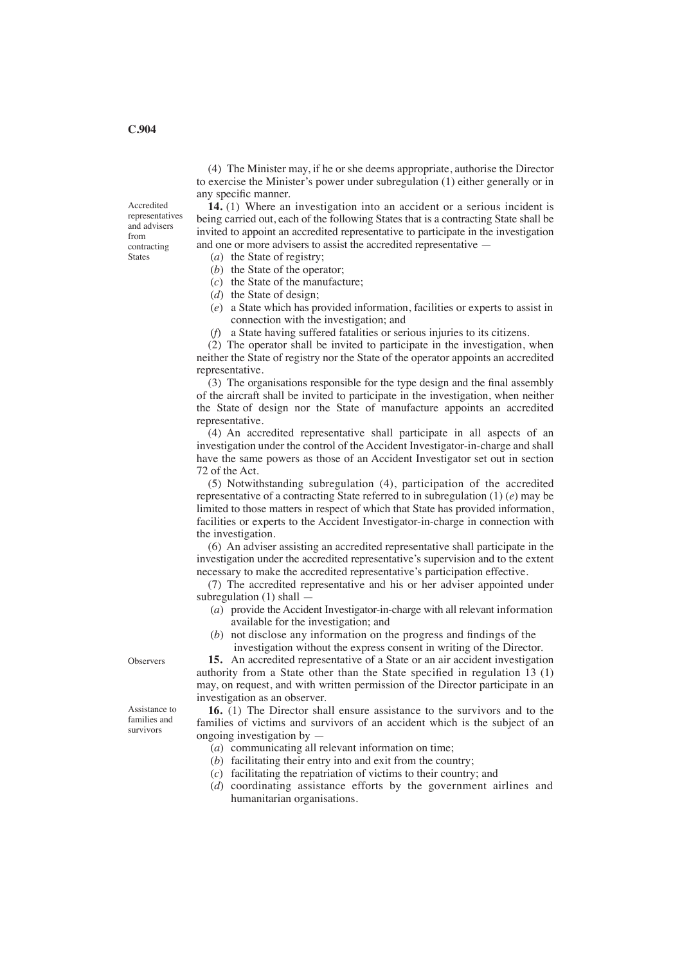(4) The Minister may, if he or she deems appropriate, authorise the Director to exercise the Minister's power under subregulation (1) either generally or in any specific manner.

**14.** (1) Where an investigation into an accident or a serious incident is being carried out, each of the following States that is a contracting State shall be invited to appoint an accredited representative to participate in the investigation and one or more advisers to assist the accredited representative —

- (*a*) the State of registry;
- (*b*) the State of the operator;
- (*c*) the State of the manufacture;
- (*d*) the State of design;
- (*e*) a State which has provided information, facilities or experts to assist in connection with the investigation; and
- (*f*) a State having suffered fatalities or serious injuries to its citizens.

(2) The operator shall be invited to participate in the investigation, when neither the State of registry nor the State of the operator appoints an accredited representative.

(3) The organisations responsible for the type design and the final assembly of the aircraft shall be invited to participate in the investigation, when neither the State of design nor the State of manufacture appoints an accredited representative.

(4) An accredited representative shall participate in all aspects of an investigation under the control of the Accident Investigator-in-charge and shall have the same powers as those of an Accident Investigator set out in section 72 of the Act.

(5) Notwithstanding subregulation (4), participation of the accredited representative of a contracting State referred to in subregulation (1) (*e*) may be limited to those matters in respect of which that State has provided information, facilities or experts to the Accident Investigator-in-charge in connection with the investigation.

(6) An adviser assisting an accredited representative shall participate in the investigation under the accredited representative's supervision and to the extent necessary to make the accredited representative's participation effective.

(7) The accredited representative and his or her adviser appointed under subregulation (1) shall —

- (*a*) provide the Accident Investigator-in-charge with all relevant information available for the investigation; and
- (*b*) not disclose any information on the progress and findings of the
- investigation without the express consent in writing of the Director.

**15.** An accredited representative of a State or an air accident investigation authority from a State other than the State specified in regulation 13 (1) may, on request, and with written permission of the Director participate in an investigation as an observer.

**16.** (1) The Director shall ensure assistance to the survivors and to the families of victims and survivors of an accident which is the subject of an ongoing investigation by —

- (*a*) communicating all relevant information on time;
- (*b*) facilitating their entry into and exit from the country;
- (*c*) facilitating the repatriation of victims to their country; and
- (*d*) coordinating assistance efforts by the government airlines and humanitarian organisations.

**Observers** 

Assistance to families and survivors

**C.904**

Accredited representatives and advisers from contracting States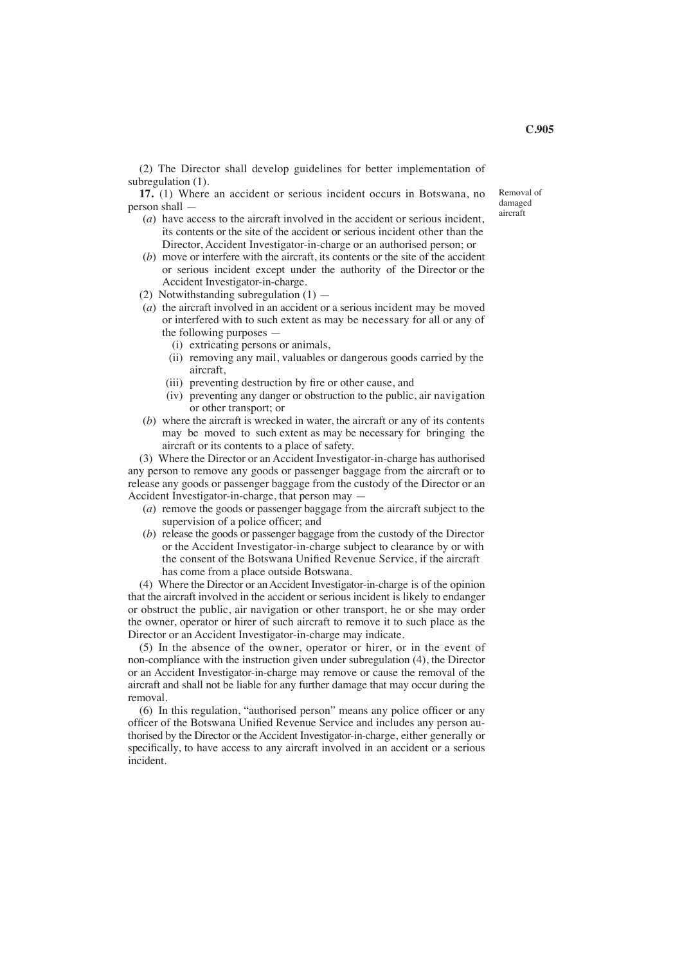(2) The Director shall develop guidelines for better implementation of subregulation (1).

**17.** (1) Where an accident or serious incident occurs in Botswana, no person shall —

- (*a*) have access to the aircraft involved in the accident or serious incident, its contents or the site of the accident or serious incident other than the Director, Accident Investigator-in-charge or an authorised person; or
- (*b*) move or interfere with the aircraft, its contents or the site of the accident or serious incident except under the authority of the Director or the Accident Investigator-in-charge.
- (2) Notwithstanding subregulation (1) —
- (*a*) the aircraft involved in an accident or a serious incident may be moved or interfered with to such extent as may be necessary for all or any of the following purposes —
	- (i) extricating persons or animals,
	- (ii) removing any mail, valuables or dangerous goods carried by the aircraft,
	- (iii) preventing destruction by fire or other cause, and
	- (iv) preventing any danger or obstruction to the public, air navigation or other transport; or
- (*b*) where the aircraft is wrecked in water, the aircraft or any of its contents may be moved to such extent as may be necessary for bringing the aircraft or its contents to a place of safety.

(3) Where the Director or an Accident Investigator-in-charge has authorised any person to remove any goods or passenger baggage from the aircraft or to release any goods or passenger baggage from the custody of the Director or an Accident Investigator-in-charge, that person may —

- (*a*) remove the goods or passenger baggage from the aircraft subject to the supervision of a police officer; and
- (*b*) release the goods or passenger baggage from the custody of the Director or the Accident Investigator-in-charge subject to clearance by or with the consent of the Botswana Unified Revenue Service, if the aircraft has come from a place outside Botswana.

(4) Where the Director or an Accident Investigator-in-charge is of the opinion that the aircraft involved in the accident or serious incident is likely to endanger or obstruct the public, air navigation or other transport, he or she may order the owner, operator or hirer of such aircraft to remove it to such place as the Director or an Accident Investigator-in-charge may indicate.

(5) In the absence of the owner, operator or hirer, or in the event of non-compliance with the instruction given under subregulation (4), the Director or an Accident Investigator-in-charge may remove or cause the removal of the aircraft and shall not be liable for any further damage that may occur during the removal.

(6) In this regulation, "authorised person" means any police officer or any officer of the Botswana Unified Revenue Service and includes any person authorised by the Director or the Accident Investigator-in-charge, either generally or specifically, to have access to any aircraft involved in an accident or a serious incident.

Removal of damaged aircraft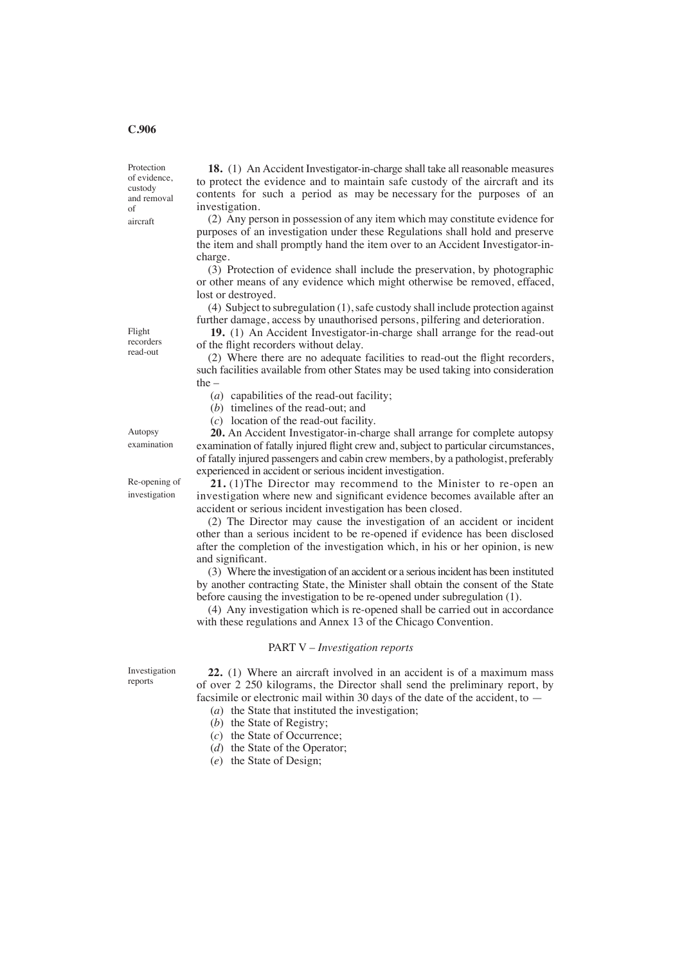## **C.906**

Protection of evidence, custody and removal of aircraft

**18.** (1) An Accident Investigator-in-charge shall take all reasonable measures to protect the evidence and to maintain safe custody of the aircraft and its contents for such a period as may be necessary for the purposes of an investigation.

(2) Any person in possession of any item which may constitute evidence for purposes of an investigation under these Regulations shall hold and preserve the item and shall promptly hand the item over to an Accident Investigator-incharge.

(3) Protection of evidence shall include the preservation, by photographic or other means of any evidence which might otherwise be removed, effaced, lost or destroyed.

(4) Subject to subregulation (1), safe custody shall include protection against further damage, access by unauthorised persons, pilfering and deterioration.

**19.** (1) An Accident Investigator-in-charge shall arrange for the read-out of the flight recorders without delay.

(2) Where there are no adequate facilities to read-out the flight recorders, such facilities available from other States may be used taking into consideration the –

(*a*) capabilities of the read-out facility;

(*b*) timelines of the read-out; and

(*c*) location of the read-out facility.

examination

Autopsy

Re-opening of investigation

**20.** An Accident Investigator-in-charge shall arrange for complete autopsy examination of fatally injured flight crew and, subject to particular circumstances, of fatally injured passengers and cabin crew members, by a pathologist, preferably experienced in accident or serious incident investigation.

**21.** (1)The Director may recommend to the Minister to re-open an investigation where new and significant evidence becomes available after an accident or serious incident investigation has been closed.

(2) The Director may cause the investigation of an accident or incident other than a serious incident to be re-opened if evidence has been disclosed after the completion of the investigation which, in his or her opinion, is new and significant.

(3) Where the investigation of an accident or a serious incident has been instituted by another contracting State, the Minister shall obtain the consent of the State before causing the investigation to be re-opened under subregulation (1).

(4) Any investigation which is re-opened shall be carried out in accordance with these regulations and Annex 13 of the Chicago Convention.

#### PART V – *Investigation reports*

Investigation reports

**22.** (1) Where an aircraft involved in an accident is of a maximum mass of over 2 250 kilograms, the Director shall send the preliminary report, by facsimile or electronic mail within 30 days of the date of the accident, to —

(*a*) the State that instituted the investigation;

- (*b*) the State of Registry;
- (*c*) the State of Occurrence;
- (*d*) the State of the Operator;
- (*e*) the State of Design;

Flight recorders read-out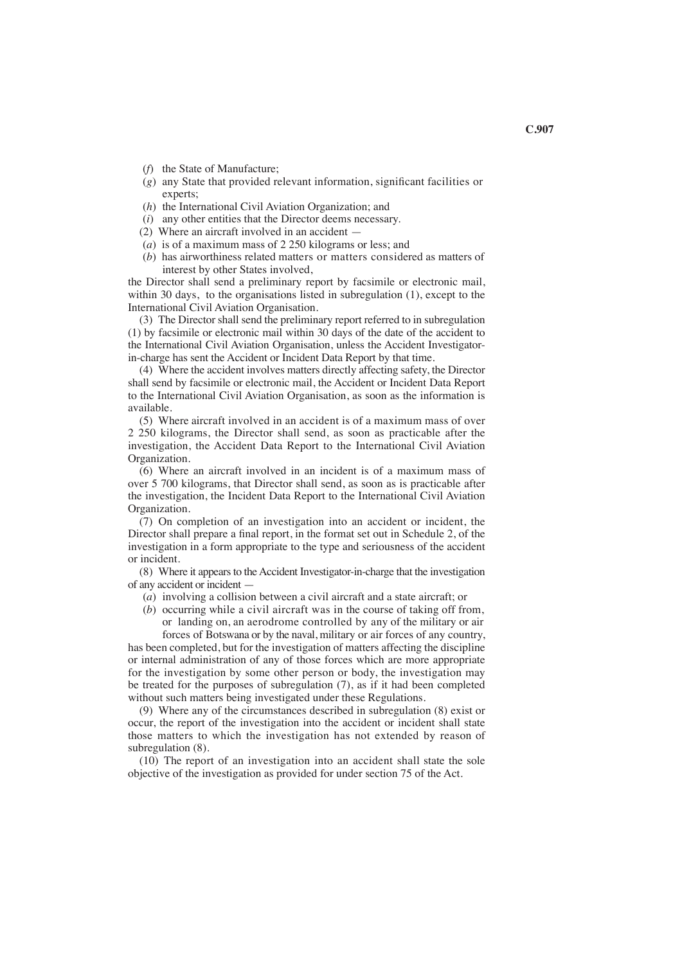- (*f*) the State of Manufacture;
- (*g*) any State that provided relevant information, significant facilities or experts;
- (*h*) the International Civil Aviation Organization; and
- (*i*) any other entities that the Director deems necessary.
- (2) Where an aircraft involved in an accident —
- (*a*) is of a maximum mass of 2 250 kilograms or less; and
- (*b*) has airworthiness related matters or matters considered as matters of interest by other States involved,

the Director shall send a preliminary report by facsimile or electronic mail, within 30 days, to the organisations listed in subregulation (1), except to the International Civil Aviation Organisation.

(3) The Director shall send the preliminary report referred to in subregulation (1) by facsimile or electronic mail within 30 days of the date of the accident to the International Civil Aviation Organisation, unless the Accident Investigatorin-charge has sent the Accident or Incident Data Report by that time.

(4) Where the accident involves matters directly affecting safety, the Director shall send by facsimile or electronic mail, the Accident or Incident Data Report to the International Civil Aviation Organisation, as soon as the information is available.

(5) Where aircraft involved in an accident is of a maximum mass of over 2 250 kilograms, the Director shall send, as soon as practicable after the investigation, the Accident Data Report to the International Civil Aviation Organization.

(6) Where an aircraft involved in an incident is of a maximum mass of over 5 700 kilograms, that Director shall send, as soon as is practicable after the investigation, the Incident Data Report to the International Civil Aviation Organization.

(7) On completion of an investigation into an accident or incident, the Director shall prepare a final report, in the format set out in Schedule 2, of the investigation in a form appropriate to the type and seriousness of the accident or incident.

(8) Where it appears to the Accident Investigator-in-charge that the investigation of any accident or incident —

- (*a*) involving a collision between a civil aircraft and a state aircraft; or
- (*b*) occurring while a civil aircraft was in the course of taking off from, or landing on, an aerodrome controlled by any of the military or air forces of Botswana or by the naval, military or air forces of any country,

has been completed, but for the investigation of matters affecting the discipline or internal administration of any of those forces which are more appropriate for the investigation by some other person or body, the investigation may be treated for the purposes of subregulation (7), as if it had been completed without such matters being investigated under these Regulations.

(9) Where any of the circumstances described in subregulation (8) exist or occur, the report of the investigation into the accident or incident shall state those matters to which the investigation has not extended by reason of subregulation (8).

(10) The report of an investigation into an accident shall state the sole objective of the investigation as provided for under section 75 of the Act.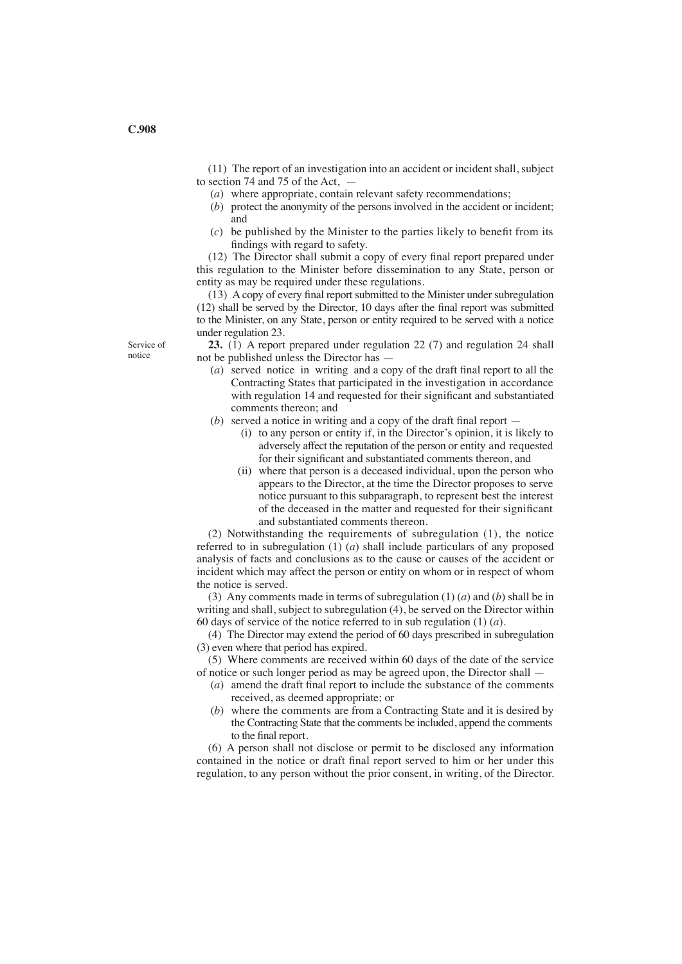(11) The report of an investigation into an accident or incident shall, subject to section 74 and 75 of the Act, —

- (*a*) where appropriate, contain relevant safety recommendations;
- (*b*) protect the anonymity of the persons involved in the accident or incident; and
- (*c*) be published by the Minister to the parties likely to benefit from its findings with regard to safety.

(12) The Director shall submit a copy of every final report prepared under this regulation to the Minister before dissemination to any State, person or entity as may be required under these regulations.

(13) A copy of every final report submitted to the Minister under subregulation (12) shall be served by the Director, 10 days after the final report was submitted to the Minister, on any State, person or entity required to be served with a notice under regulation 23.

**23.** (1) A report prepared under regulation 22 (7) and regulation 24 shall not be published unless the Director has —

- (*a*) served notice in writing and a copy of the draft final report to all the Contracting States that participated in the investigation in accordance with regulation 14 and requested for their significant and substantiated comments thereon; and
- (*b*) served a notice in writing and a copy of the draft final report
	- (i) to any person or entity if, in the Director's opinion, it is likely to adversely affect the reputation of the person or entity and requested for their significant and substantiated comments thereon, and
	- (ii) where that person is a deceased individual, upon the person who appears to the Director, at the time the Director proposes to serve notice pursuant to this subparagraph, to represent best the interest of the deceased in the matter and requested for their significant and substantiated comments thereon.

(2) Notwithstanding the requirements of subregulation (1), the notice referred to in subregulation (1) (*a*) shall include particulars of any proposed analysis of facts and conclusions as to the cause or causes of the accident or incident which may affect the person or entity on whom or in respect of whom the notice is served.

(3) Any comments made in terms of subregulation (1) (*a*) and (*b*) shall be in writing and shall, subject to subregulation (4), be served on the Director within 60 days of service of the notice referred to in sub regulation (1) (*a*).

(4) The Director may extend the period of 60 days prescribed in subregulation (3) even where that period has expired.

(5) Where comments are received within 60 days of the date of the service of notice or such longer period as may be agreed upon, the Director shall —

- (*a*) amend the draft final report to include the substance of the comments received, as deemed appropriate; or
- (*b*) where the comments are from a Contracting State and it is desired by the Contracting State that the comments be included, append the comments to the final report.

(6) A person shall not disclose or permit to be disclosed any information contained in the notice or draft final report served to him or her under this regulation, to any person without the prior consent, in writing, of the Director.

Service of notice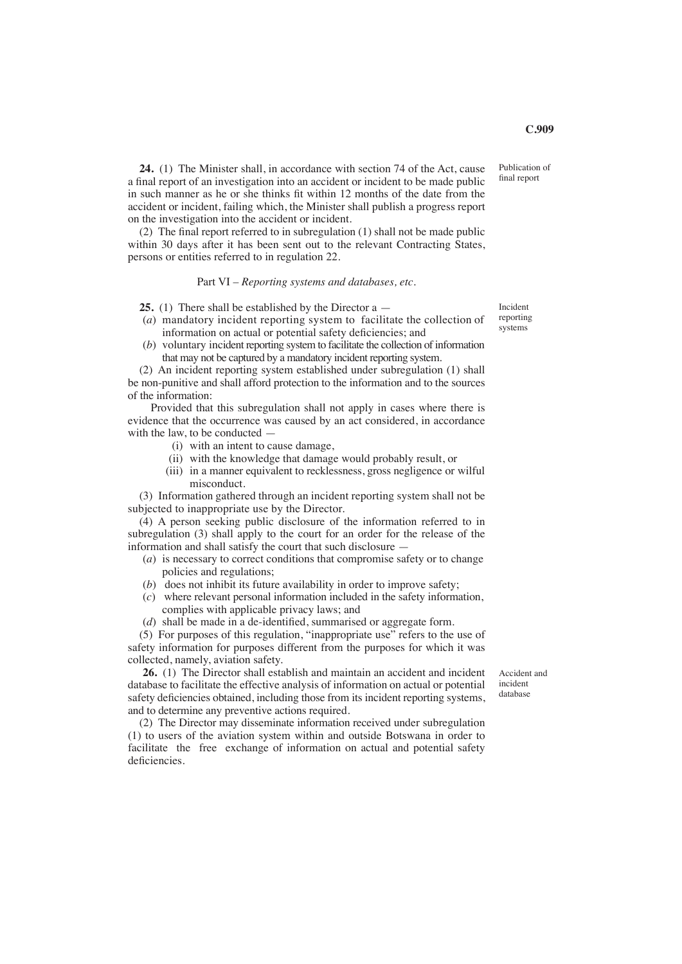Publication of final report

**C.909**

**24.** (1) The Minister shall, in accordance with section 74 of the Act, cause a final report of an investigation into an accident or incident to be made public in such manner as he or she thinks fit within 12 months of the date from the accident or incident, failing which, the Minister shall publish a progress report on the investigation into the accident or incident.

(2) The final report referred to in subregulation (1) shall not be made public within 30 days after it has been sent out to the relevant Contracting States, persons or entities referred to in regulation 22.

#### Part VI – *Reporting systems and databases, etc.*

**25.** (1) There shall be established by the Director a —

- (*a*) mandatory incident reporting system to facilitate the collection of information on actual or potential safety deficiencies; and
- (*b*) voluntary incident reporting system to facilitate the collection of information that may not be captured by a mandatory incident reporting system.

(2) An incident reporting system established under subregulation (1) shall be non-punitive and shall afford protection to the information and to the sources of the information:

 Provided that this subregulation shall not apply in cases where there is evidence that the occurrence was caused by an act considered, in accordance with the law, to be conducted —

- (i) with an intent to cause damage,
- (ii) with the knowledge that damage would probably result, or
- (iii) in a manner equivalent to recklessness, gross negligence or wilful misconduct.

(3) Information gathered through an incident reporting system shall not be subjected to inappropriate use by the Director.

(4) A person seeking public disclosure of the information referred to in subregulation (3) shall apply to the court for an order for the release of the information and shall satisfy the court that such disclosure —

- (*a*) is necessary to correct conditions that compromise safety or to change policies and regulations;
- (*b*) does not inhibit its future availability in order to improve safety;
- (*c*) where relevant personal information included in the safety information, complies with applicable privacy laws; and
- (*d*) shall be made in a de-identified, summarised or aggregate form.

(5) For purposes of this regulation, "inappropriate use" refers to the use of safety information for purposes different from the purposes for which it was collected, namely, aviation safety.

**26.** (1) The Director shall establish and maintain an accident and incident database to facilitate the effective analysis of information on actual or potential safety deficiencies obtained, including those from its incident reporting systems, and to determine any preventive actions required.

(2) The Director may disseminate information received under subregulation (1) to users of the aviation system within and outside Botswana in order to facilitate the free exchange of information on actual and potential safety deficiencies.

Incident reporting systems

Accident and incident database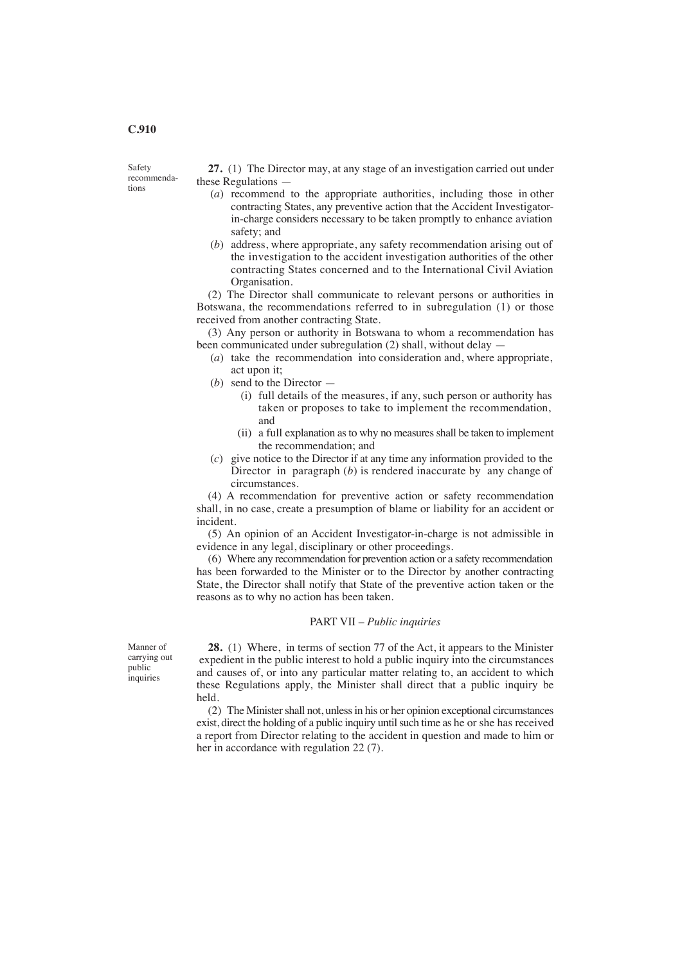#### **C.910**

Safety recommenda-

tions

**27.** (1) The Director may, at any stage of an investigation carried out under these Regulations —

- (*a*) recommend to the appropriate authorities, including those in other contracting States, any preventive action that the Accident Investigator in-charge considers necessary to be taken promptly to enhance aviation safety; and
- (*b*) address, where appropriate, any safety recommendation arising out of the investigation to the accident investigation authorities of the other contracting States concerned and to the International Civil Aviation Organisation.

(2) The Director shall communicate to relevant persons or authorities in Botswana, the recommendations referred to in subregulation (1) or those received from another contracting State.

(3) Any person or authority in Botswana to whom a recommendation has been communicated under subregulation (2) shall, without delay -

- (*a*) take the recommendation into consideration and, where appropriate, act upon it;
- (*b*) send to the Director
	- (i) full details of the measures, if any, such person or authority has taken or proposes to take to implement the recommendation, and
	- (ii) a full explanation as to why no measures shall be taken to implement the recommendation; and
- (*c*) give notice to the Director if at any time any information provided to the Director in paragraph (*b*) is rendered inaccurate by any change of circumstances.

(4) A recommendation for preventive action or safety recommendation shall, in no case, create a presumption of blame or liability for an accident or incident.

(5) An opinion of an Accident Investigator-in-charge is not admissible in evidence in any legal, disciplinary or other proceedings.

(6) Where any recommendation for prevention action or a safety recommendation has been forwarded to the Minister or to the Director by another contracting State, the Director shall notify that State of the preventive action taken or the reasons as to why no action has been taken.

#### PART VII – *Public inquiries*

Manner of carrying out public inquiries

**28.** (1) Where, in terms of section 77 of the Act, it appears to the Minister expedient in the public interest to hold a public inquiry into the circumstances and causes of, or into any particular matter relating to, an accident to which these Regulations apply, the Minister shall direct that a public inquiry be held.

(2) The Minister shall not, unless in his or her opinion exceptional circumstances exist, direct the holding of a public inquiry until such time as he or she has received a report from Director relating to the accident in question and made to him or her in accordance with regulation 22 (7).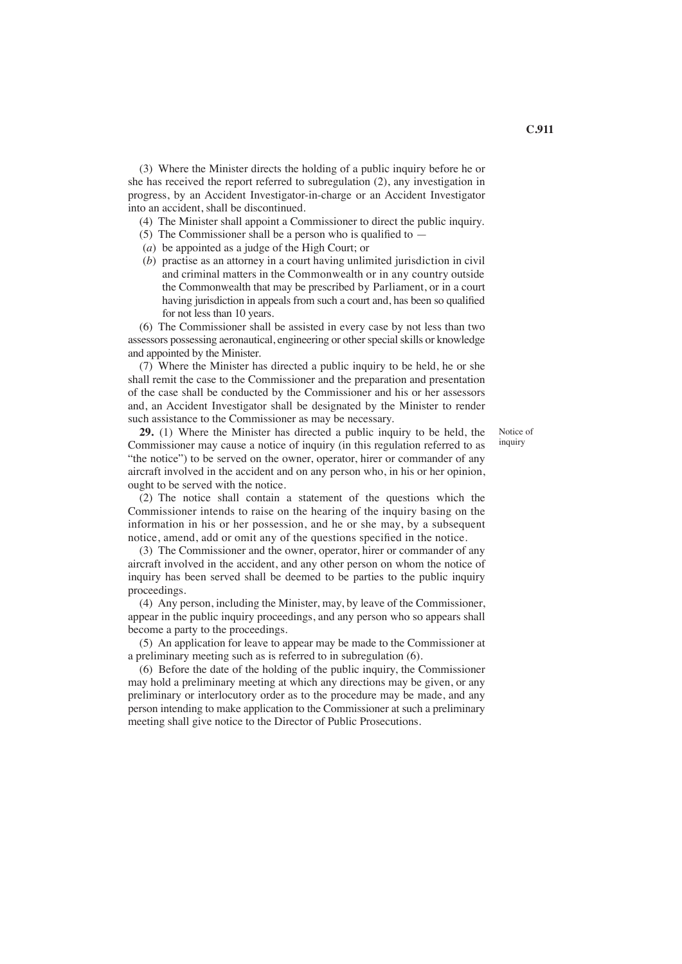(3) Where the Minister directs the holding of a public inquiry before he or she has received the report referred to subregulation (2), any investigation in progress, by an Accident Investigator-in-charge or an Accident Investigator into an accident, shall be discontinued.

(4) The Minister shall appoint a Commissioner to direct the public inquiry.

(5) The Commissioner shall be a person who is qualified to  $-$ 

- (*a*) be appointed as a judge of the High Court; or
- (*b*) practise as an attorney in a court having unlimited jurisdiction in civil and criminal matters in the Commonwealth or in any country outside the Commonwealth that may be prescribed by Parliament, or in a court having jurisdiction in appeals from such a court and, has been so qualified for not less than 10 years.

(6) The Commissioner shall be assisted in every case by not less than two assessors possessing aeronautical, engineering or other special skills or knowledge and appointed by the Minister.

(7) Where the Minister has directed a public inquiry to be held, he or she shall remit the case to the Commissioner and the preparation and presentation of the case shall be conducted by the Commissioner and his or her assessors and, an Accident Investigator shall be designated by the Minister to render such assistance to the Commissioner as may be necessary.

> Notice of inquiry

**29.** (1) Where the Minister has directed a public inquiry to be held, the Commissioner may cause a notice of inquiry (in this regulation referred to as "the notice") to be served on the owner, operator, hirer or commander of any aircraft involved in the accident and on any person who, in his or her opinion, ought to be served with the notice.

(2) The notice shall contain a statement of the questions which the Commissioner intends to raise on the hearing of the inquiry basing on the information in his or her possession, and he or she may, by a subsequent notice, amend, add or omit any of the questions specified in the notice.

(3) The Commissioner and the owner, operator, hirer or commander of any aircraft involved in the accident, and any other person on whom the notice of inquiry has been served shall be deemed to be parties to the public inquiry proceedings.

(4) Any person, including the Minister, may, by leave of the Commissioner, appear in the public inquiry proceedings, and any person who so appears shall become a party to the proceedings.

(5) An application for leave to appear may be made to the Commissioner at a preliminary meeting such as is referred to in subregulation (6).

(6) Before the date of the holding of the public inquiry, the Commissioner may hold a preliminary meeting at which any directions may be given, or any preliminary or interlocutory order as to the procedure may be made, and any person intending to make application to the Commissioner at such a preliminary meeting shall give notice to the Director of Public Prosecutions.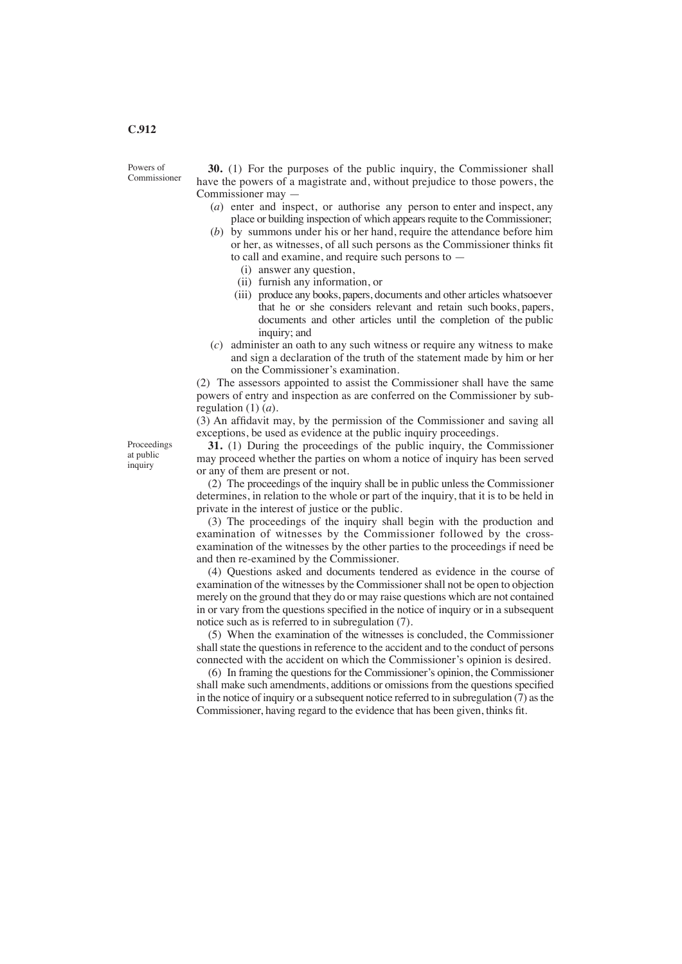Powers of Commissioner

**30.** (1) For the purposes of the public inquiry, the Commissioner shall have the powers of a magistrate and, without prejudice to those powers, the Commissioner may —

- (*a*) enter and inspect, or authorise any person to enter and inspect, any place or building inspection of which appears requite to the Commissioner;
- (*b*) by summons under his or her hand, require the attendance before him or her, as witnesses, of all such persons as the Commissioner thinks fit to call and examine, and require such persons to —
	- (i) answer any question,
	- (ii) furnish any information, or
	- (iii) produce any books, papers, documents and other articles whatsoever that he or she considers relevant and retain such books, papers, documents and other articles until the completion of the public inquiry; and
- (*c*) administer an oath to any such witness or require any witness to make and sign a declaration of the truth of the statement made by him or her on the Commissioner's examination.

(2) The assessors appointed to assist the Commissioner shall have the same powers of entry and inspection as are conferred on the Commissioner by subregulation (1) (*a*).

(3) An affidavit may, by the permission of the Commissioner and saving all exceptions, be used as evidence at the public inquiry proceedings.

Proceedings at public inquiry

**31.** (1) During the proceedings of the public inquiry, the Commissioner may proceed whether the parties on whom a notice of inquiry has been served or any of them are present or not.

(2) The proceedings of the inquiry shall be in public unless the Commissioner determines, in relation to the whole or part of the inquiry, that it is to be held in private in the interest of justice or the public.

(3) The proceedings of the inquiry shall begin with the production and examination of witnesses by the Commissioner followed by the crossexamination of the witnesses by the other parties to the proceedings if need be and then re-examined by the Commissioner.

(4) Questions asked and documents tendered as evidence in the course of examination of the witnesses by the Commissioner shall not be open to objection merely on the ground that they do or may raise questions which are not contained in or vary from the questions specified in the notice of inquiry or in a subsequent notice such as is referred to in subregulation (7).

(5) When the examination of the witnesses is concluded, the Commissioner shall state the questions in reference to the accident and to the conduct of persons connected with the accident on which the Commissioner's opinion is desired.

(6) In framing the questions for the Commissioner's opinion, the Commissioner shall make such amendments, additions or omissions from the questions specified in the notice of inquiry or a subsequent notice referred to in subregulation (7) as the Commissioner, having regard to the evidence that has been given, thinks fit.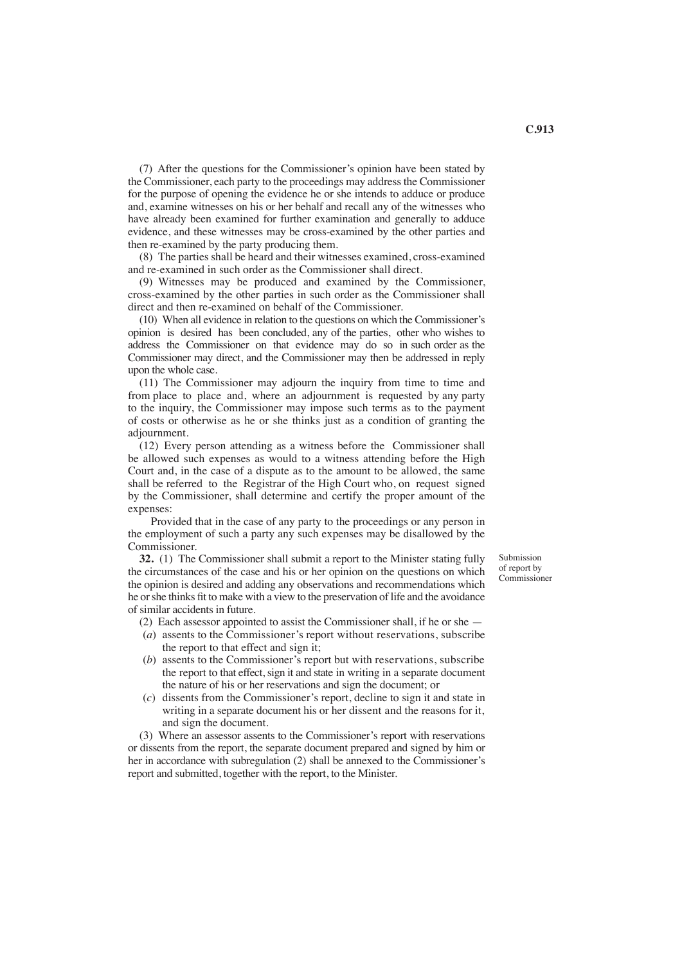(7) After the questions for the Commissioner's opinion have been stated by the Commissioner, each party to the proceedings may address the Commissioner for the purpose of opening the evidence he or she intends to adduce or produce and, examine witnesses on his or her behalf and recall any of the witnesses who have already been examined for further examination and generally to adduce evidence, and these witnesses may be cross-examined by the other parties and then re-examined by the party producing them.

(8) The parties shall be heard and their witnesses examined, cross-examined and re-examined in such order as the Commissioner shall direct.

(9) Witnesses may be produced and examined by the Commissioner, cross-examined by the other parties in such order as the Commissioner shall direct and then re-examined on behalf of the Commissioner.

(10) When all evidence in relation to the questions on which the Commissioner's opinion is desired has been concluded, any of the parties, other who wishes to address the Commissioner on that evidence may do so in such order as the Commissioner may direct, and the Commissioner may then be addressed in reply upon the whole case.

(11) The Commissioner may adjourn the inquiry from time to time and from place to place and, where an adjournment is requested by any party to the inquiry, the Commissioner may impose such terms as to the payment of costs or otherwise as he or she thinks just as a condition of granting the adjournment.

(12) Every person attending as a witness before the Commissioner shall be allowed such expenses as would to a witness attending before the High Court and, in the case of a dispute as to the amount to be allowed, the same shall be referred to the Registrar of the High Court who, on request signed by the Commissioner, shall determine and certify the proper amount of the expenses:

 Provided that in the case of any party to the proceedings or any person in the employment of such a party any such expenses may be disallowed by the Commissioner.

**32.** (1) The Commissioner shall submit a report to the Minister stating fully the circumstances of the case and his or her opinion on the questions on which the opinion is desired and adding any observations and recommendations which he orshe thinks fit to make with a view to the preservation of life and the avoidance of similar accidents in future.

Submission of report by Commissioner

- (2) Each assessor appointed to assist the Commissioner shall, if he or she —
- (*a*) assents to the Commissioner's report without reservations, subscribe the report to that effect and sign it;
- (*b*) assents to the Commissioner's report but with reservations, subscribe the report to that effect, sign it and state in writing in a separate document the nature of his or her reservations and sign the document; or
- (*c*) dissents from the Commissioner's report, decline to sign it and state in writing in a separate document his or her dissent and the reasons for it, and sign the document.

(3) Where an assessor assents to the Commissioner's report with reservations or dissents from the report, the separate document prepared and signed by him or her in accordance with subregulation (2) shall be annexed to the Commissioner's report and submitted, together with the report, to the Minister.

**C.913**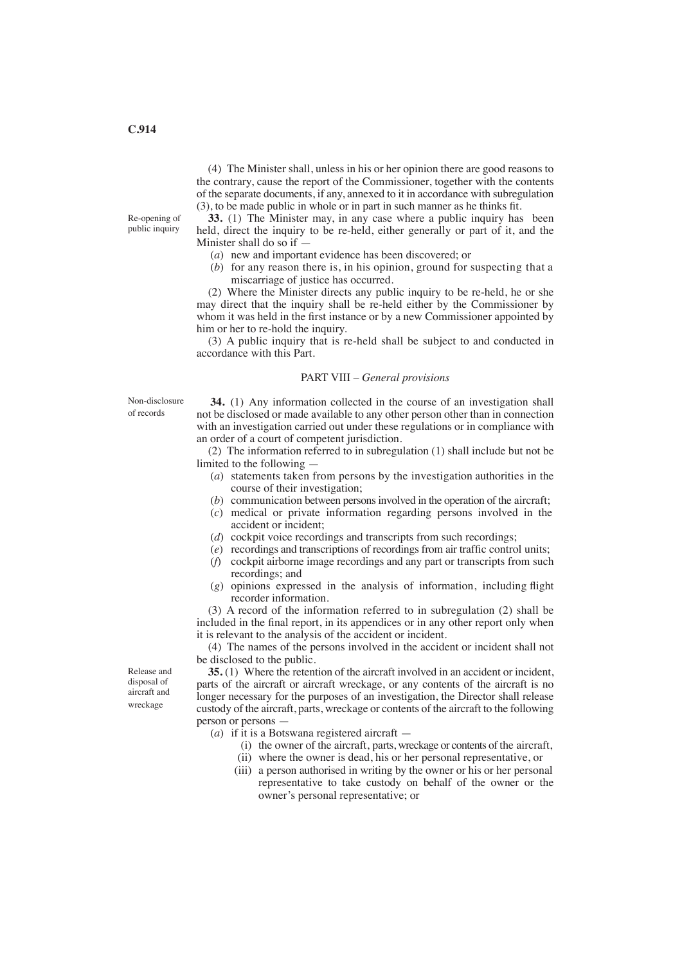Re-opening of public inquiry

(4) The Minister shall, unless in his or her opinion there are good reasons to the contrary, cause the report of the Commissioner, together with the contents of the separate documents, if any, annexed to it in accordance with subregulation (3), to be made public in whole or in part in such manner as he thinks fit.

**33.** (1) The Minister may, in any case where a public inquiry has been held, direct the inquiry to be re-held, either generally or part of it, and the Minister shall do so if —

- (*a*) new and important evidence has been discovered; or
- (*b*) for any reason there is, in his opinion, ground for suspecting that a miscarriage of justice has occurred.

(2) Where the Minister directs any public inquiry to be re-held, he or she may direct that the inquiry shall be re-held either by the Commissioner by whom it was held in the first instance or by a new Commissioner appointed by him or her to re-hold the inquiry.

(3) A public inquiry that is re-held shall be subject to and conducted in accordance with this Part.

#### PART VIII – *General provisions*

Non-disclosure

of records

**34.** (1) Any information collected in the course of an investigation shall not be disclosed or made available to any other person other than in connection with an investigation carried out under these regulations or in compliance with an order of a court of competent jurisdiction.

(2) The information referred to in subregulation (1) shall include but not be limited to the following —

- (*a*) statements taken from persons by the investigation authorities in the course of their investigation;
- (*b*) communication between persons involved in the operation of the aircraft;
- (*c*) medical or private information regarding persons involved in the accident or incident;
- (*d*) cockpit voice recordings and transcripts from such recordings:
- (*e*) recordings and transcriptions of recordings from air traffic control units;
- (*f*) cockpit airborne image recordings and any part or transcripts from such recordings; and
- (*g*) opinions expressed in the analysis of information, including flight recorder information.

(3) A record of the information referred to in subregulation (2) shall be included in the final report, in its appendices or in any other report only when it is relevant to the analysis of the accident or incident.

(4) The names of the persons involved in the accident or incident shall not be disclosed to the public.

**35.** (1) Where the retention of the aircraft involved in an accident or incident, parts of the aircraft or aircraft wreckage, or any contents of the aircraft is no longer necessary for the purposes of an investigation, the Director shall release custody of the aircraft, parts, wreckage or contents of the aircraft to the following person or persons —

- (*a*) if it is a Botswana registered aircraft
	- (i) the owner of the aircraft, parts, wreckage or contents of the aircraft,
	- (ii) where the owner is dead, his or her personal representative, or
	- (iii) a person authorised in writing by the owner or his or her personal representative to take custody on behalf of the owner or the owner's personal representative; or

Release and disposal of aircraft and wreckage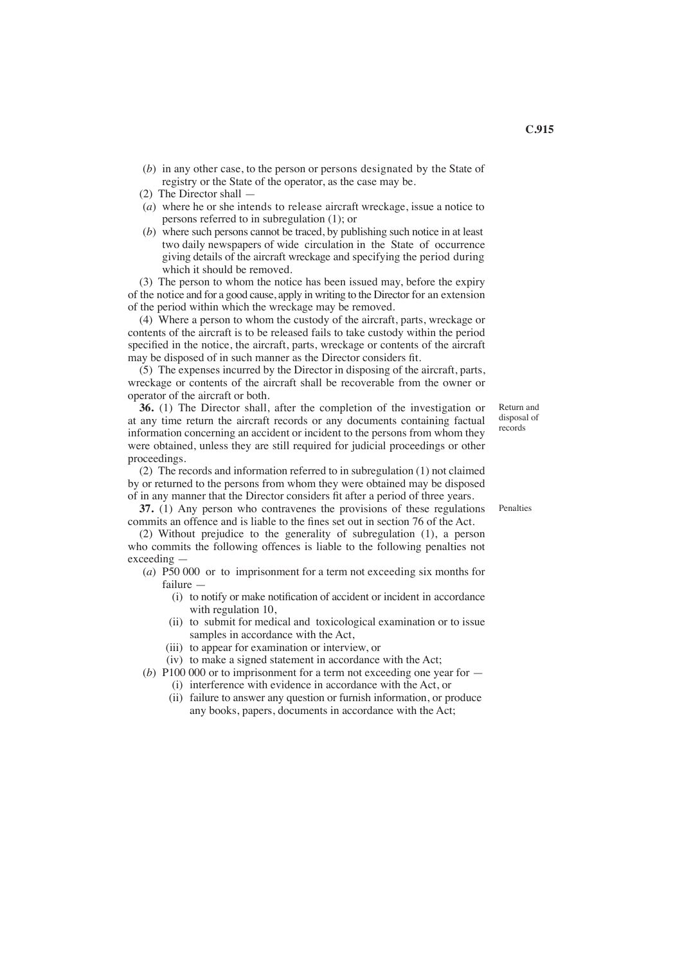- (*b*) in any other case, to the person or persons designated by the State of registry or the State of the operator, as the case may be.
- (2) The Director shall —
- (*a*) where he or she intends to release aircraft wreckage, issue a notice to persons referred to in subregulation (1); or
- (*b*) where such persons cannot be traced, by publishing such notice in at least two daily newspapers of wide circulation in the State of occurrence giving details of the aircraft wreckage and specifying the period during which it should be removed.

(3) The person to whom the notice has been issued may, before the expiry of the notice and for a good cause, apply in writing to the Director for an extension of the period within which the wreckage may be removed.

(4) Where a person to whom the custody of the aircraft, parts, wreckage or contents of the aircraft is to be released fails to take custody within the period specified in the notice, the aircraft, parts, wreckage or contents of the aircraft may be disposed of in such manner as the Director considers fit.

(5) The expenses incurred by the Director in disposing of the aircraft, parts, wreckage or contents of the aircraft shall be recoverable from the owner or operator of the aircraft or both.

**36.** (1) The Director shall, after the completion of the investigation or at any time return the aircraft records or any documents containing factual information concerning an accident or incident to the persons from whom they were obtained, unless they are still required for judicial proceedings or other proceedings.

(2) The records and information referred to in subregulation (1) not claimed by or returned to the persons from whom they were obtained may be disposed of in any manner that the Director considers fit after a period of three years.

**37.** (1) Any person who contravenes the provisions of these regulations Penalties commits an offence and is liable to the fines set out in section 76 of the Act.

(2) Without prejudice to the generality of subregulation (1), a person who commits the following offences is liable to the following penalties not exceeding —

- (*a*) P50 000 or to imprisonment for a term not exceeding six months for failure —
	- (i) to notify or make notification of accident or incident in accordance with regulation 10,
	- (ii) to submit for medical and toxicological examination or to issue samples in accordance with the Act,
	- (iii) to appear for examination or interview, or

(iv) to make a signed statement in accordance with the Act;

(*b*) P100 000 or to imprisonment for a term not exceeding one year for —

- (i) interference with evidence in accordance with the Act, or
- (ii) failure to answer any question or furnish information, or produce any books, papers, documents in accordance with the Act;

Return and disposal of records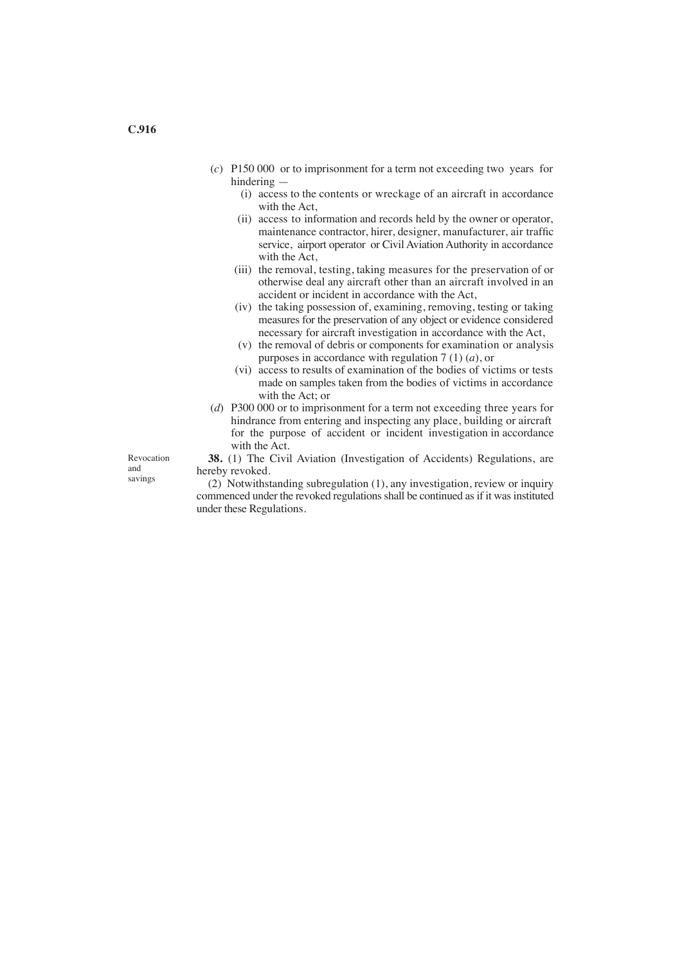- (*c*) P150 000 or to imprisonment for a term not exceeding two years for hindering —
	- (i) access to the contents or wreckage of an aircraft in accordance with the Act,
	- (ii) access to information and records held by the owner or operator, maintenance contractor, hirer, designer, manufacturer, air traffic service, airport operator or Civil Aviation Authority in accordance with the Act,
	- (iii) the removal, testing, taking measures for the preservation of or otherwise deal any aircraft other than an aircraft involved in an accident or incident in accordance with the Act,
	- (iv) the taking possession of, examining, removing, testing or taking measures for the preservation of any object or evidence considered necessary for aircraft investigation in accordance with the Act,
	- (v) the removal of debris or components for examination or analysis purposes in accordance with regulation 7 (1) (*a*), or
	- (vi) access to results of examination of the bodies of victims or tests made on samples taken from the bodies of victims in accordance with the Act; or
- (*d*) P300 000 or to imprisonment for a term not exceeding three years for hindrance from entering and inspecting any place, building or aircraft for the purpose of accident or incident investigation in accordance with the Act.

Revocation and savings

**38.** (1) The Civil Aviation (Investigation of Accidents) Regulations, are hereby revoked.

(2) Notwithstanding subregulation (1), any investigation, review or inquiry commenced under the revoked regulations shall be continued as if it was instituted under these Regulations.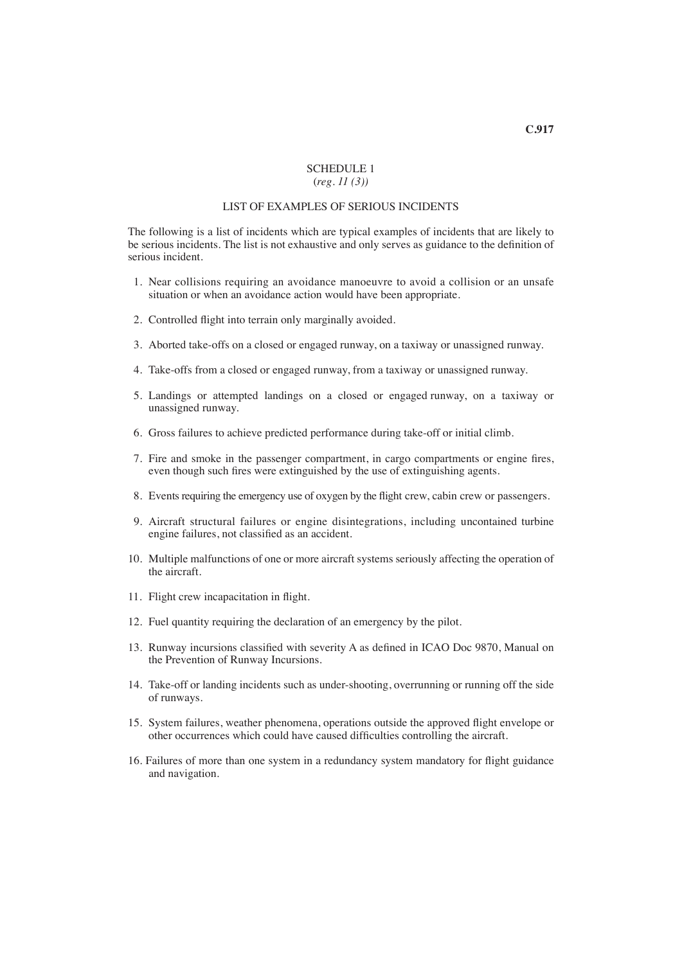## SCHEDULE 1 (*reg. 11 (3))*

# LIST OF EXAMPLES OF SERIOUS INCIDENTS

The following is a list of incidents which are typical examples of incidents that are likely to be serious incidents. The list is not exhaustive and only serves as guidance to the definition of serious incident.

- 1. Near collisions requiring an avoidance manoeuvre to avoid a collision or an unsafe situation or when an avoidance action would have been appropriate.
- 2. Controlled flight into terrain only marginally avoided.
- 3. Aborted take-offs on a closed or engaged runway, on a taxiway or unassigned runway.
- 4. Take-offs from a closed or engaged runway, from a taxiway or unassigned runway.
- 5. Landings or attempted landings on a closed or engaged runway, on a taxiway or unassigned runway.
- 6. Gross failures to achieve predicted performance during take-off or initial climb.
- 7. Fire and smoke in the passenger compartment, in cargo compartments or engine fires, even though such fires were extinguished by the use of extinguishing agents.
- 8. Events requiring the emergency use of oxygen by the flight crew, cabin crew or passengers.
- 9. Aircraft structural failures or engine disintegrations, including uncontained turbine engine failures, not classified as an accident.
- 10. Multiple malfunctions of one or more aircraft systems seriously affecting the operation of the aircraft.
- 11. Flight crew incapacitation in flight.
- 12. Fuel quantity requiring the declaration of an emergency by the pilot.
- 13. Runway incursions classified with severity A as defined in ICAO Doc 9870, Manual on the Prevention of Runway Incursions.
- 14. Take-off or landing incidents such as under-shooting, overrunning or running off the side of runways.
- 15. System failures, weather phenomena, operations outside the approved flight envelope or other occurrences which could have caused difficulties controlling the aircraft.
- 16. Failures of more than one system in a redundancy system mandatory for flight guidance and navigation.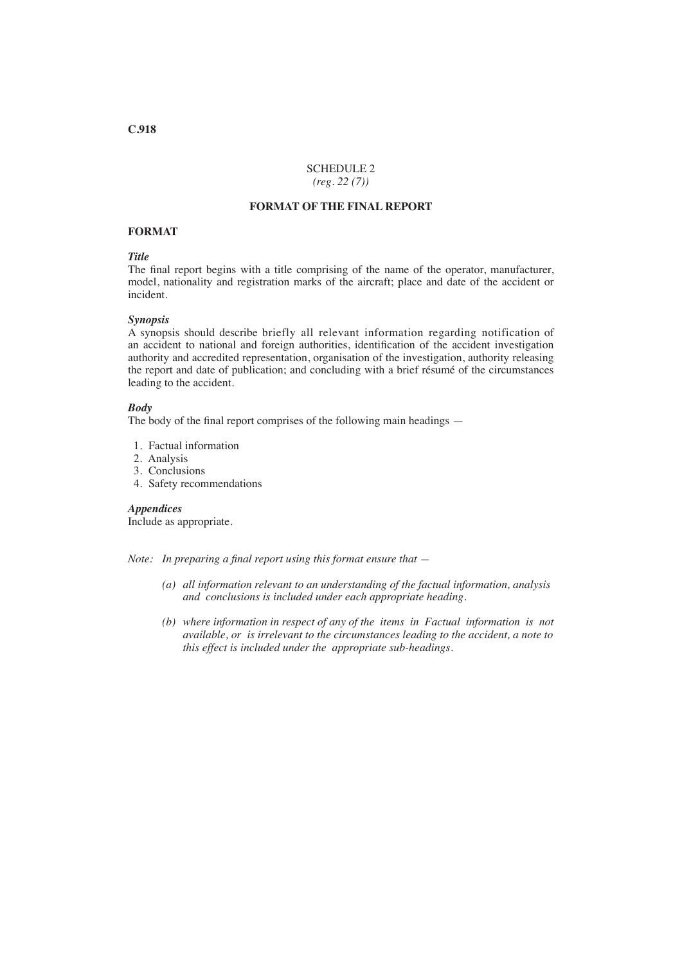## SCHEDULE 2 *(reg. 22 (7))*

# **FORMAT OF THE FINAL REPORT**

#### **FORMAT**

## *Title*

The final report begins with a title comprising of the name of the operator, manufacturer, model, nationality and registration marks of the aircraft; place and date of the accident or incident.

#### *Synopsis*

A synopsis should describe briefly all relevant information regarding notification of an accident to national and foreign authorities, identification of the accident investigation authority and accredited representation, organisation of the investigation, authority releasing the report and date of publication; and concluding with a brief résumé of the circumstances leading to the accident.

## *Body*

The body of the final report comprises of the following main headings —

- 1. Factual information
- 2. Analysis
- 3. Conclusions
- 4. Safety recommendations

## *Appendices*

Include as appropriate.

*Note: In preparing a final report using this format ensure that —*

- *(a) all information relevant to an understanding of the factual information, analysis and conclusions is included under each appropriate heading.*
- *(b) where information in respect of any of the items in Factual information is not available, or is irrelevant to the circumstances leading to the accident, a note to this effect is included under the appropriate sub-headings.*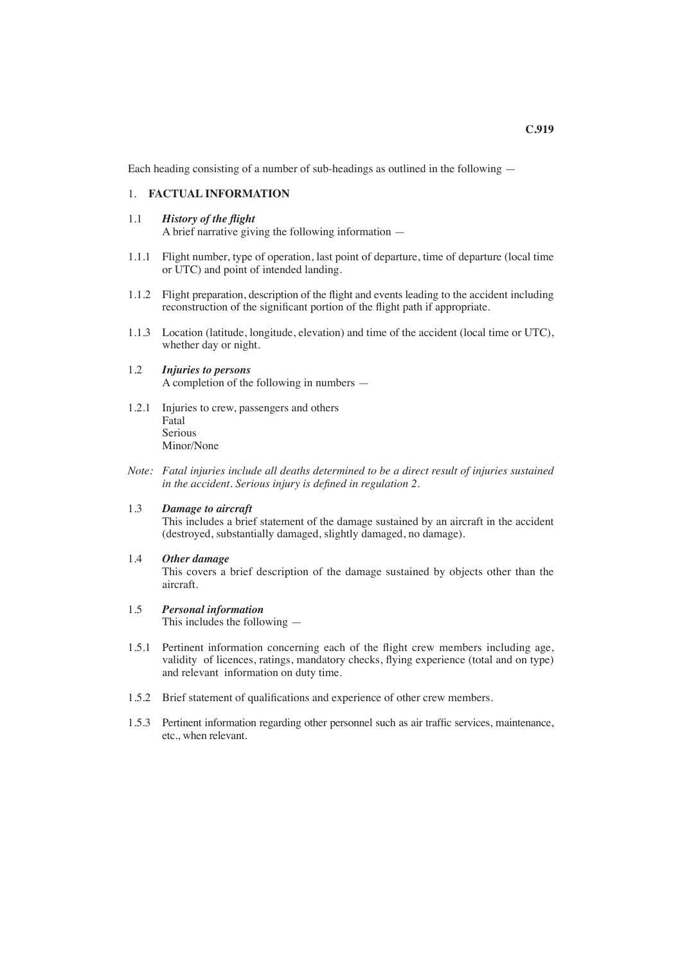Each heading consisting of a number of sub-headings as outlined in the following —

# 1. **FACTUAL INFORMATION**

- 1.1 *History of the flight* A brief narrative giving the following information —
- 1.1.1 Flight number, type of operation, last point of departure, time of departure (local time or UTC) and point of intended landing.
- 1.1.2 Flight preparation, description of the flight and events leading to the accident including reconstruction of the significant portion of the flight path if appropriate.
- 1.1.3 Location (latitude, longitude, elevation) and time of the accident (local time or UTC), whether day or night.

## 1.2 *Injuries to persons* A completion of the following in numbers —

- 1.2.1 Injuries to crew, passengers and others Fatal Serious Minor/None
- *Note: Fatal injuries include all deaths determined to be a direct result of injuries sustained in the accident. Serious injury is defined in regulation 2.*

# 1.3 *Damage to aircraft*

 This includes a brief statement of the damage sustained by an aircraft in the accident (destroyed, substantially damaged, slightly damaged, no damage).

- 1.4 *Other damage* This covers a brief description of the damage sustained by objects other than the aircraft.
- 1.5 *Personal information* This includes the following —
- 1.5.1 Pertinent information concerning each of the flight crew members including age, validity of licences, ratings, mandatory checks, flying experience (total and on type) and relevant information on duty time.
- 1.5.2 Brief statement of qualifications and experience of other crew members.
- 1.5.3 Pertinent information regarding other personnel such as air traffic services, maintenance, etc., when relevant.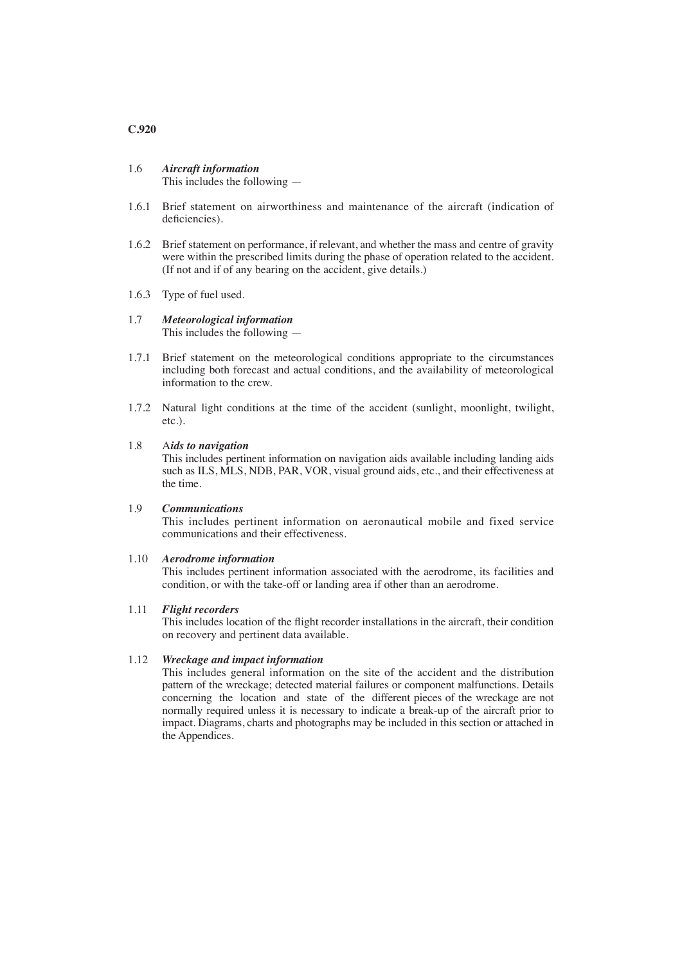**C.920**

# 1.6 *Aircraft information*

This includes the following —

- 1.6.1 Brief statement on airworthiness and maintenance of the aircraft (indication of deficiencies).
- 1.6.2 Brief statement on performance, if relevant, and whether the mass and centre of gravity were within the prescribed limits during the phase of operation related to the accident. (If not and if of any bearing on the accident, give details.)
- 1.6.3 Type of fuel used.
- 1.7 *Meteorological information* This includes the following —
- 1.7.1 Brief statement on the meteorological conditions appropriate to the circumstances including both forecast and actual conditions, and the availability of meteorological information to the crew.
- 1.7.2 Natural light conditions at the time of the accident (sunlight, moonlight, twilight, etc.).

## 1.8 A*ids to navigation*

 This includes pertinent information on navigation aids available including landing aids such as ILS, MLS, NDB, PAR, VOR, visual ground aids, etc., and their effectiveness at the time.

## 1.9 *Communications*

 This includes pertinent information on aeronautical mobile and fixed service communications and their effectiveness.

#### 1.10 *Aerodrome information*

 This includes pertinent information associated with the aerodrome, its facilities and condition, or with the take-off or landing area if other than an aerodrome.

#### 1.11 *Flight recorders*

This includes location of the flight recorder installations in the aircraft, their condition on recovery and pertinent data available.

## 1.12 *Wreckage and impact information*

 This includes general information on the site of the accident and the distribution pattern of the wreckage; detected material failures or component malfunctions. Details concerning the location and state of the different pieces of the wreckage are not normally required unless it is necessary to indicate a break-up of the aircraft prior to impact. Diagrams, charts and photographs may be included in this section or attached in the Appendices.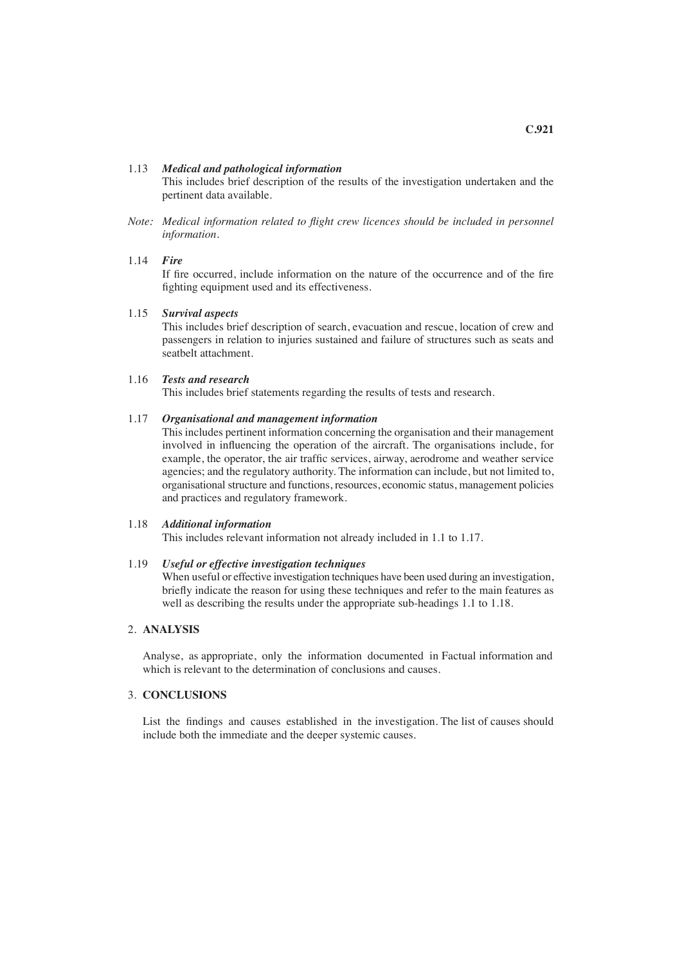This includes brief description of the results of the investigation undertaken and the pertinent data available.

*Note: Medical information related to flight crew licences should be included in personnel information.*

#### 1.14 *Fire*

If fire occurred, include information on the nature of the occurrence and of the fire fighting equipment used and its effectiveness.

#### 1.15 *Survival aspects*

 This includes brief description of search, evacuation and rescue, location of crew and passengers in relation to injuries sustained and failure of structures such as seats and seatbelt attachment.

#### 1.16 *Tests and research*

This includes brief statements regarding the results of tests and research.

## 1.17 *Organisational and management information*

 This includes pertinent information concerning the organisation and their management involved in influencing the operation of the aircraft. The organisations include, for example, the operator, the air traffic services, airway, aerodrome and weather service agencies; and the regulatory authority. The information can include, but not limited to, organisational structure and functions, resources, economic status, management policies and practices and regulatory framework.

## 1.18 *Additional information*

This includes relevant information not already included in 1.1 to 1.17.

# 1.19 *Useful or effective investigation techniques*

 When useful or effective investigation techniques have been used during an investigation, briefly indicate the reason for using these techniques and refer to the main features as well as describing the results under the appropriate sub-headings 1.1 to 1.18.

## 2. **ANALYSIS**

Analyse, as appropriate, only the information documented in Factual information and which is relevant to the determination of conclusions and causes.

# 3. **CONCLUSIONS**

List the findings and causes established in the investigation. The list of causes should include both the immediate and the deeper systemic causes.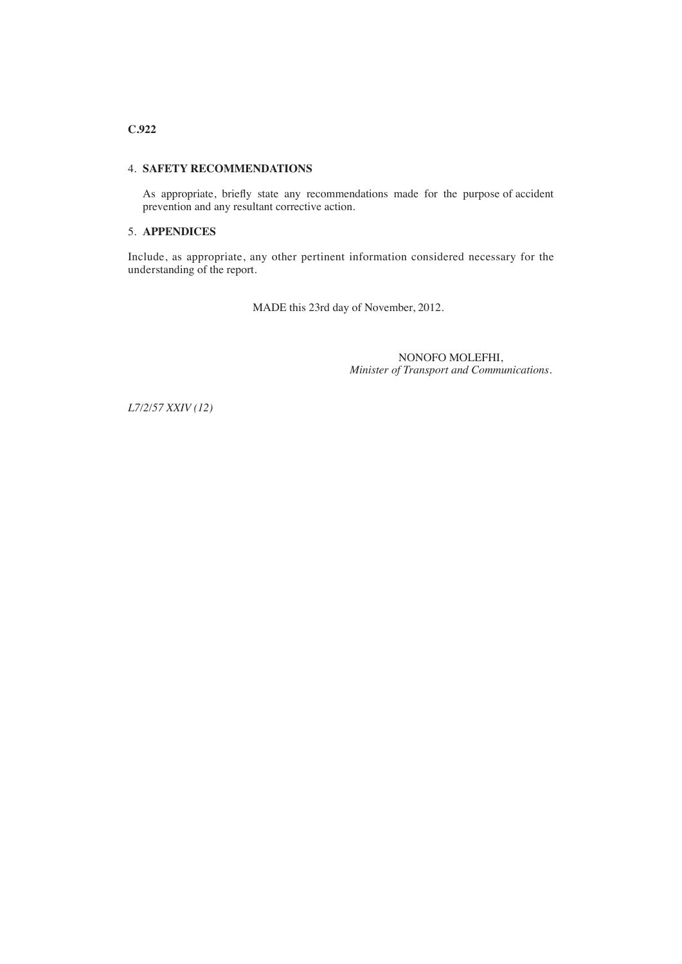# **C.922**

## 4. **SAFETY RECOMMENDATIONS**

As appropriate, briefly state any recommendations made for the purpose of accident prevention and any resultant corrective action.

# 5. **APPENDICES**

Include, as appropriate, any other pertinent information considered necessary for the understanding of the report.

MADE this 23rd day of November, 2012.

NONOFO MOLEFHI, *Minister of Transport and Communications.*

*L7/2/57 XXIV (12)*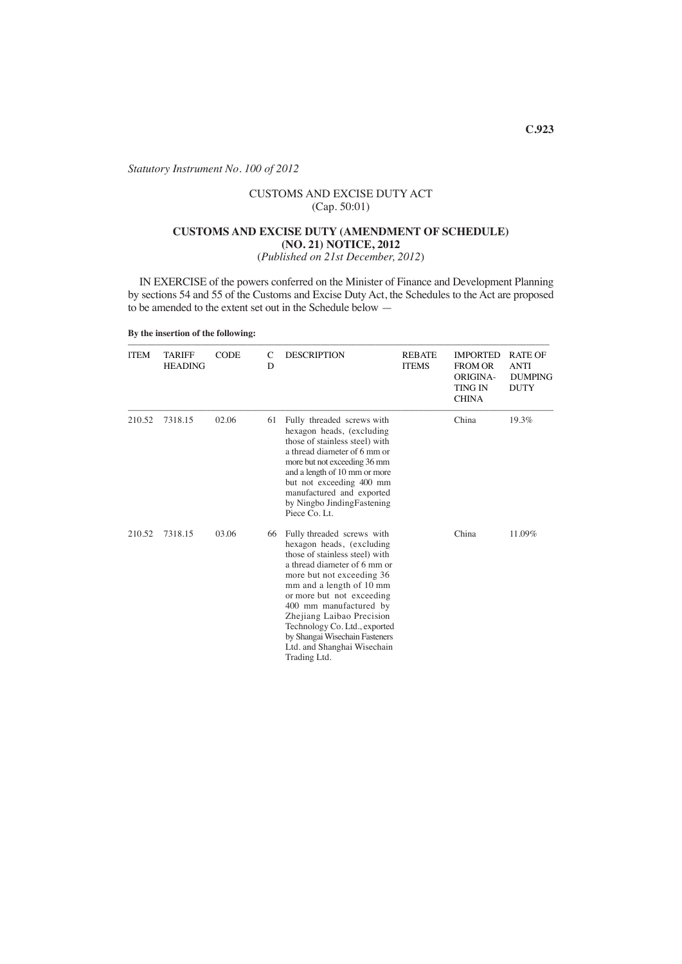*Statutory Instrument No. 100 of 2012*

# CUSTOMS AND EXCISE DUTY ACT (Cap. 50:01)

## **CUSTOMS AND EXCISE DUTY (AMENDMENT OF SCHEDULE) (NO. 21) NOTICE, 2012**

(*Published on 21st December, 2012*)

IN EXERCISE of the powers conferred on the Minister of Finance and Development Planning by sections 54 and 55 of the Customs and Excise Duty Act, the Schedules to the Act are proposed to be amended to the extent set out in the Schedule below —

#### **By the insertion of the following:**

| <b>ITEM</b> | <b>TARIFF</b><br><b>HEADING</b> | <b>CODE</b> | C<br>D | <b>DESCRIPTION</b>                                                                                                                                                                                                                                                                                                                                                                       | <b>REBATE</b><br><b>ITEMS</b> | <b>IMPORTED</b><br><b>FROM OR</b><br><b>ORIGINA-</b><br><b>TING IN</b><br><b>CHINA</b> | <b>RATE OF</b><br><b>ANTI</b><br><b>DUMPING</b><br><b>DUTY</b> |
|-------------|---------------------------------|-------------|--------|------------------------------------------------------------------------------------------------------------------------------------------------------------------------------------------------------------------------------------------------------------------------------------------------------------------------------------------------------------------------------------------|-------------------------------|----------------------------------------------------------------------------------------|----------------------------------------------------------------|
| 210.52      | 7318.15                         | 02.06       | 61     | Fully threaded screws with<br>hexagon heads, (excluding<br>those of stainless steel) with<br>a thread diameter of 6 mm or<br>more but not exceeding 36 mm<br>and a length of 10 mm or more<br>but not exceeding 400 mm<br>manufactured and exported<br>by Ningbo JindingFastening<br>Piece Co. Lt.                                                                                       |                               | China                                                                                  | 19.3%                                                          |
| 210.52      | 7318.15                         | 03.06       | 66     | Fully threaded screws with<br>hexagon heads, (excluding<br>those of stainless steel) with<br>a thread diameter of 6 mm or<br>more but not exceeding 36<br>mm and a length of 10 mm<br>or more but not exceeding<br>400 mm manufactured by<br>Zhejiang Laibao Precision<br>Technology Co. Ltd., exported<br>by Shangai Wisechain Fasteners<br>Ltd. and Shanghai Wisechain<br>Trading Ltd. |                               | China                                                                                  | 11.09%                                                         |